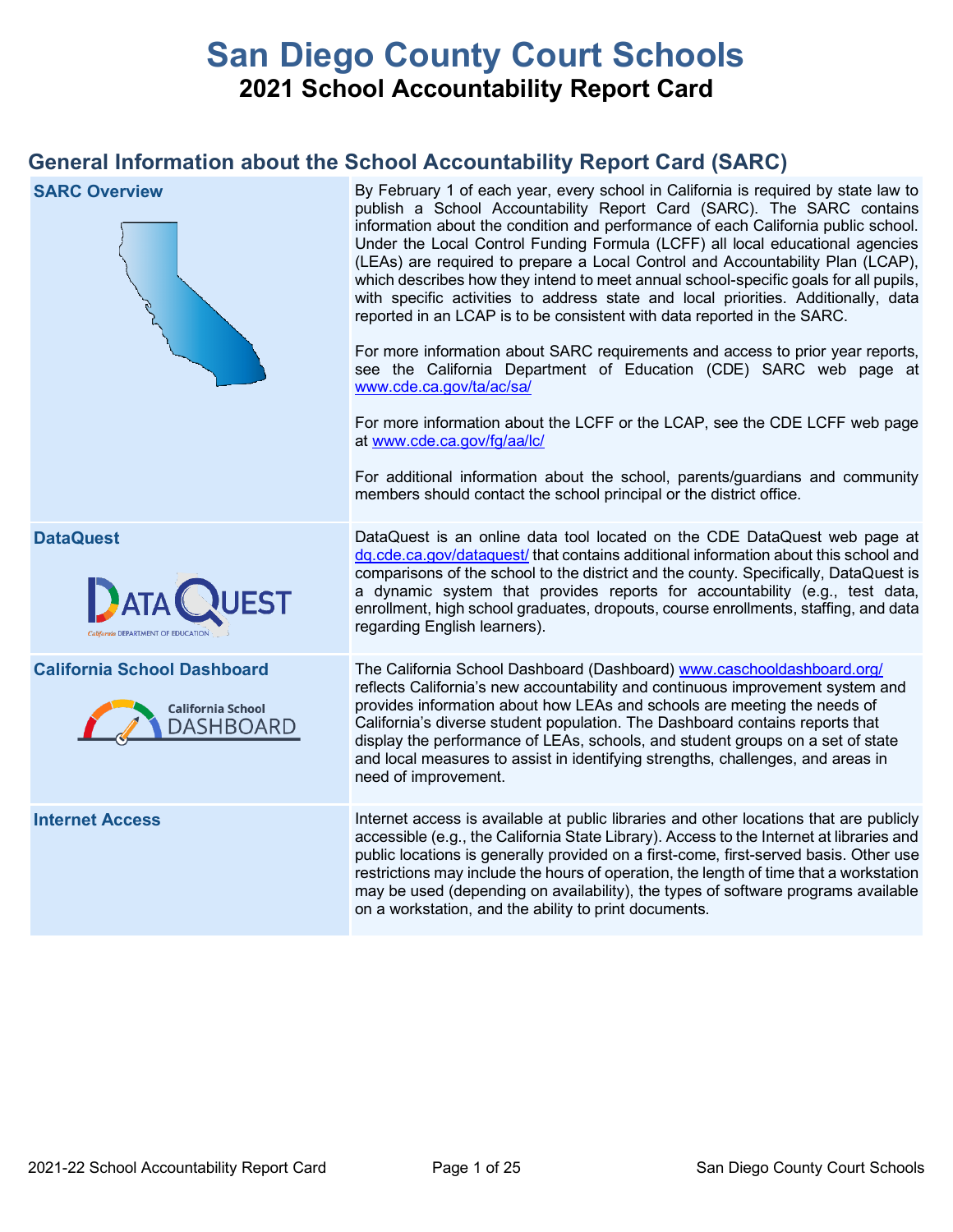# **San Diego County Court Schools 2021 School Accountability Report Card**

## **General Information about the School Accountability Report Card (SARC)**

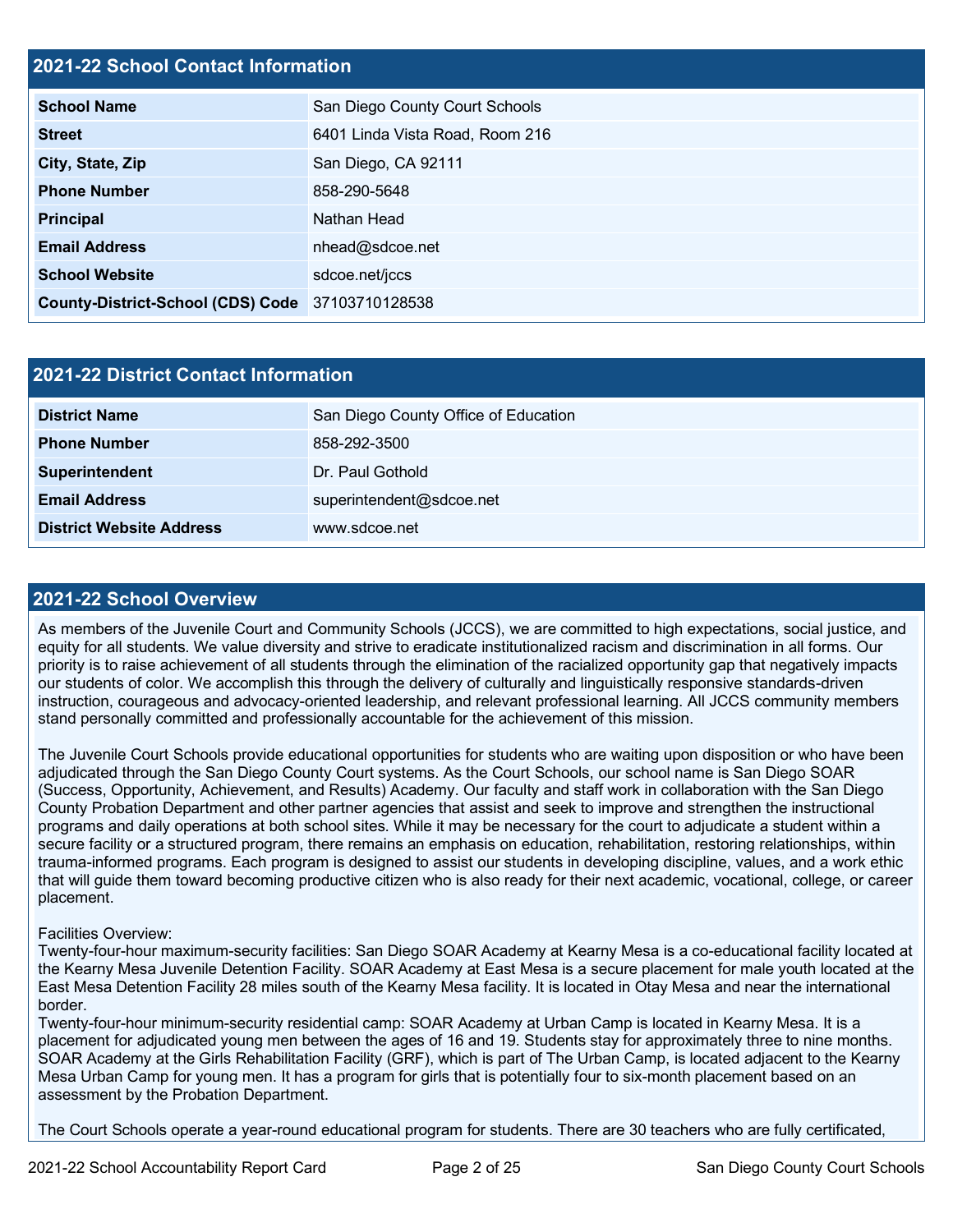## **2021-22 School Contact Information**

| <b>School Name</b>                               | San Diego County Court Schools  |  |  |  |  |  |
|--------------------------------------------------|---------------------------------|--|--|--|--|--|
| <b>Street</b>                                    | 6401 Linda Vista Road, Room 216 |  |  |  |  |  |
| City, State, Zip                                 | San Diego, CA 92111             |  |  |  |  |  |
| <b>Phone Number</b>                              | 858-290-5648                    |  |  |  |  |  |
| <b>Principal</b>                                 | Nathan Head                     |  |  |  |  |  |
| <b>Email Address</b>                             | nhead@sdcoe.net                 |  |  |  |  |  |
| <b>School Website</b>                            | sdcoe.net/jccs                  |  |  |  |  |  |
| County-District-School (CDS) Code 37103710128538 |                                 |  |  |  |  |  |

| <b>2021-22 District Contact Information</b> |                                      |  |  |  |
|---------------------------------------------|--------------------------------------|--|--|--|
| <b>District Name</b>                        | San Diego County Office of Education |  |  |  |
| <b>Phone Number</b>                         | 858-292-3500                         |  |  |  |
| Superintendent                              | Dr. Paul Gothold                     |  |  |  |
| <b>Email Address</b>                        | superintendent@sdcoe.net             |  |  |  |
| <b>District Website Address</b>             | www.sdcoe.net                        |  |  |  |

### **2021-22 School Overview**

As members of the Juvenile Court and Community Schools (JCCS), we are committed to high expectations, social justice, and equity for all students. We value diversity and strive to eradicate institutionalized racism and discrimination in all forms. Our priority is to raise achievement of all students through the elimination of the racialized opportunity gap that negatively impacts our students of color. We accomplish this through the delivery of culturally and linguistically responsive standards-driven instruction, courageous and advocacy-oriented leadership, and relevant professional learning. All JCCS community members stand personally committed and professionally accountable for the achievement of this mission.

The Juvenile Court Schools provide educational opportunities for students who are waiting upon disposition or who have been adjudicated through the San Diego County Court systems. As the Court Schools, our school name is San Diego SOAR (Success, Opportunity, Achievement, and Results) Academy. Our faculty and staff work in collaboration with the San Diego County Probation Department and other partner agencies that assist and seek to improve and strengthen the instructional programs and daily operations at both school sites. While it may be necessary for the court to adjudicate a student within a secure facility or a structured program, there remains an emphasis on education, rehabilitation, restoring relationships, within trauma-informed programs. Each program is designed to assist our students in developing discipline, values, and a work ethic that will guide them toward becoming productive citizen who is also ready for their next academic, vocational, college, or career placement.

### Facilities Overview:

Twenty-four-hour maximum-security facilities: San Diego SOAR Academy at Kearny Mesa is a co-educational facility located at the Kearny Mesa Juvenile Detention Facility. SOAR Academy at East Mesa is a secure placement for male youth located at the East Mesa Detention Facility 28 miles south of the Kearny Mesa facility. It is located in Otay Mesa and near the international border.

Twenty-four-hour minimum-security residential camp: SOAR Academy at Urban Camp is located in Kearny Mesa. It is a placement for adjudicated young men between the ages of 16 and 19. Students stay for approximately three to nine months. SOAR Academy at the Girls Rehabilitation Facility (GRF), which is part of The Urban Camp, is located adjacent to the Kearny Mesa Urban Camp for young men. It has a program for girls that is potentially four to six-month placement based on an assessment by the Probation Department.

The Court Schools operate a year-round educational program for students. There are 30 teachers who are fully certificated,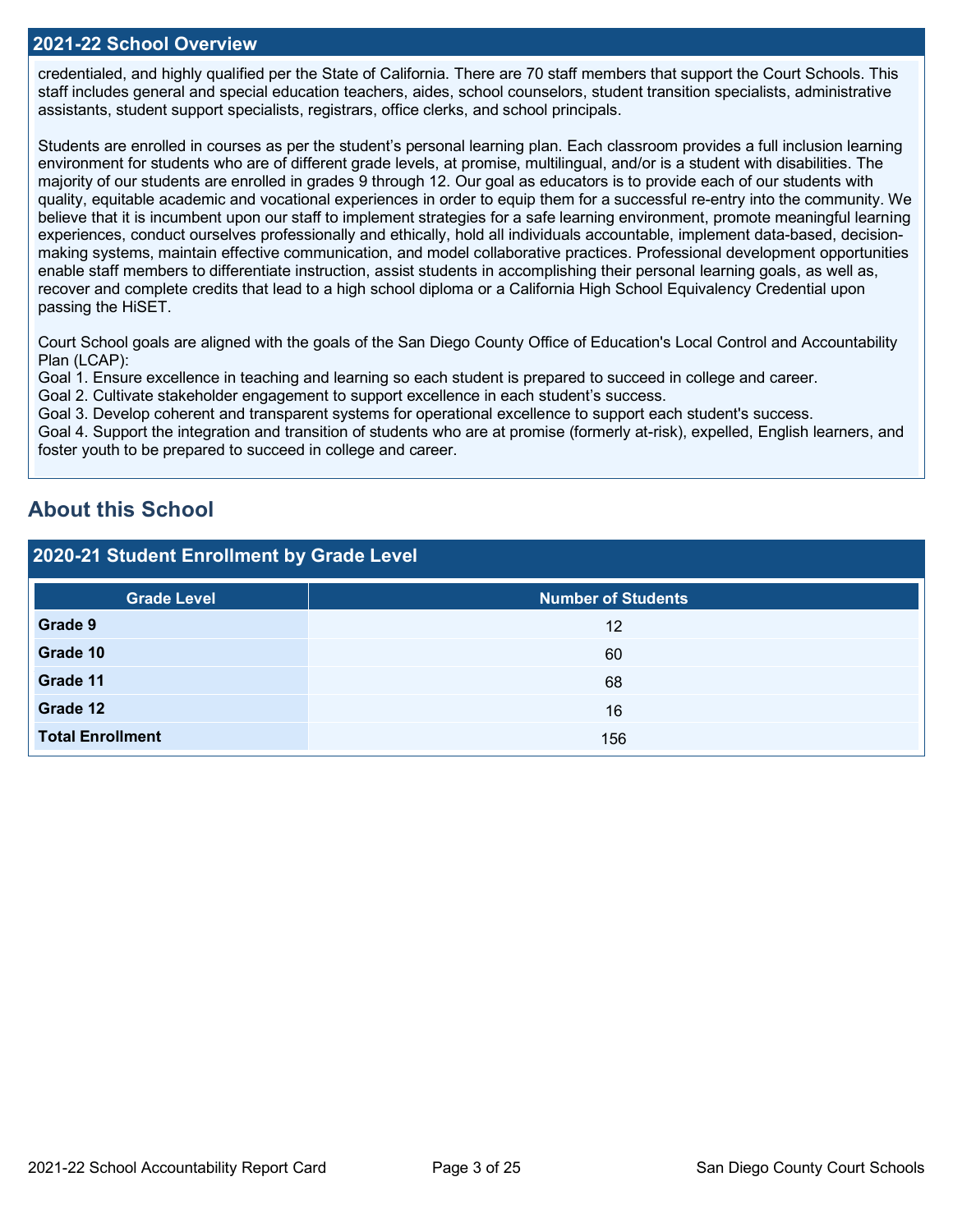### **2021-22 School Overview**

credentialed, and highly qualified per the State of California. There are 70 staff members that support the Court Schools. This staff includes general and special education teachers, aides, school counselors, student transition specialists, administrative assistants, student support specialists, registrars, office clerks, and school principals.

Students are enrolled in courses as per the student's personal learning plan. Each classroom provides a full inclusion learning environment for students who are of different grade levels, at promise, multilingual, and/or is a student with disabilities. The majority of our students are enrolled in grades 9 through 12. Our goal as educators is to provide each of our students with quality, equitable academic and vocational experiences in order to equip them for a successful re-entry into the community. We believe that it is incumbent upon our staff to implement strategies for a safe learning environment, promote meaningful learning experiences, conduct ourselves professionally and ethically, hold all individuals accountable, implement data-based, decisionmaking systems, maintain effective communication, and model collaborative practices. Professional development opportunities enable staff members to differentiate instruction, assist students in accomplishing their personal learning goals, as well as, recover and complete credits that lead to a high school diploma or a California High School Equivalency Credential upon passing the HiSET.

Court School goals are aligned with the goals of the San Diego County Office of Education's Local Control and Accountability Plan (LCAP):

Goal 1. Ensure excellence in teaching and learning so each student is prepared to succeed in college and career.

Goal 2. Cultivate stakeholder engagement to support excellence in each student's success.

Goal 3. Develop coherent and transparent systems for operational excellence to support each student's success.

Goal 4. Support the integration and transition of students who are at promise (formerly at-risk), expelled, English learners, and foster youth to be prepared to succeed in college and career.

## **About this School**

## **2020-21 Student Enrollment by Grade Level**

| <b>Grade Level</b>      | <b>Number of Students</b> |
|-------------------------|---------------------------|
| Grade 9                 | 12                        |
| Grade 10                | 60                        |
| Grade 11                | 68                        |
| Grade 12                | 16                        |
| <b>Total Enrollment</b> | 156                       |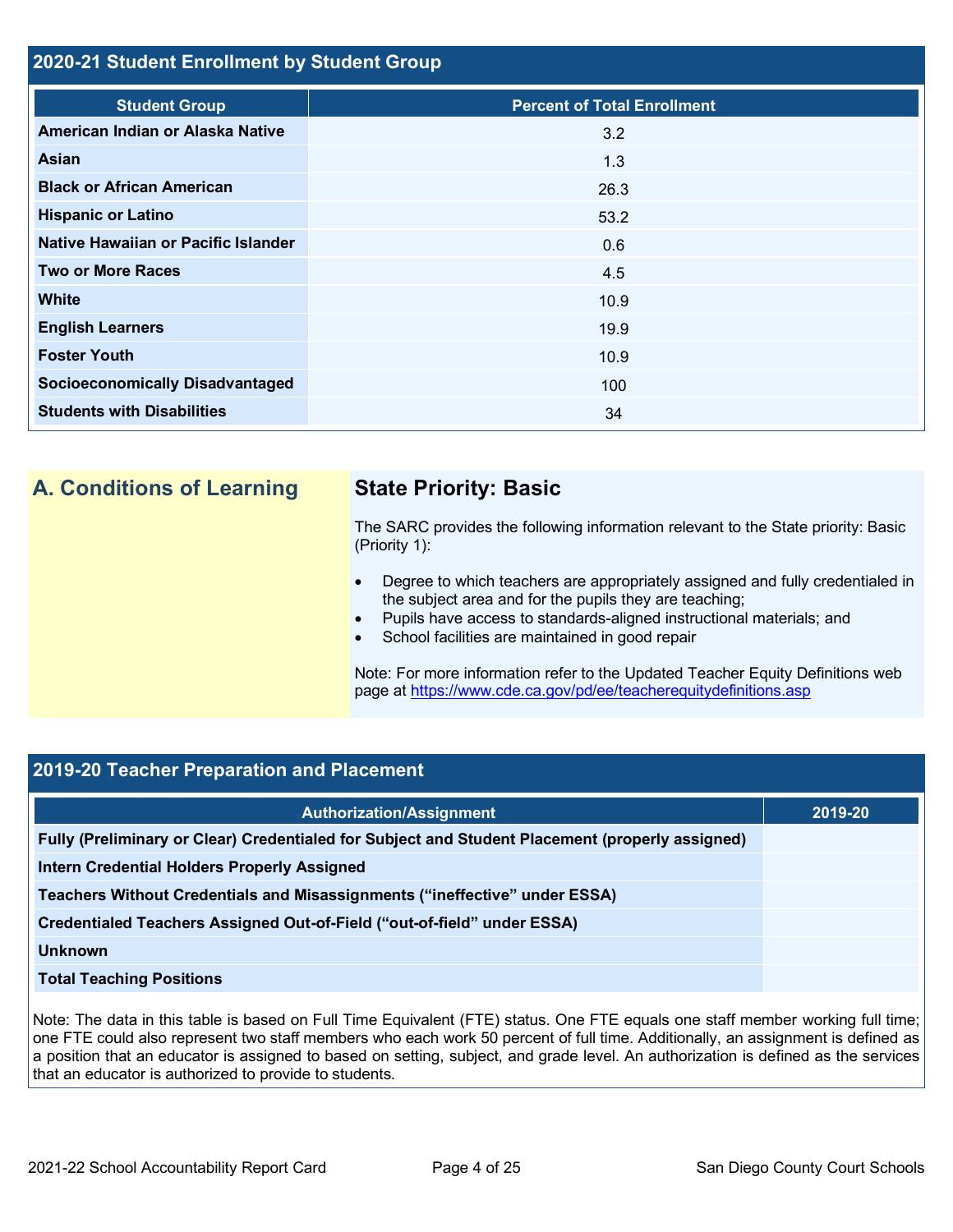## **2020-21 Student Enrollment by Student Group**

| <b>Student Group</b>                   | <b>Percent of Total Enrollment</b> |
|----------------------------------------|------------------------------------|
| American Indian or Alaska Native       | 3.2                                |
| Asian                                  | 1.3                                |
| <b>Black or African American</b>       | 26.3                               |
| <b>Hispanic or Latino</b>              | 53.2                               |
| Native Hawaiian or Pacific Islander    | 0.6                                |
| <b>Two or More Races</b>               | 4.5                                |
| <b>White</b>                           | 10.9                               |
| <b>English Learners</b>                | 19.9                               |
| <b>Foster Youth</b>                    | 10.9                               |
| <b>Socioeconomically Disadvantaged</b> | 100                                |
| <b>Students with Disabilities</b>      | 34                                 |

## **A. Conditions of Learning State Priority: Basic**

The SARC provides the following information relevant to the State priority: Basic (Priority 1):

- Degree to which teachers are appropriately assigned and fully credentialed in the subject area and for the pupils they are teaching;
- Pupils have access to standards-aligned instructional materials; and
- School facilities are maintained in good repair

Note: For more information refer to the Updated Teacher Equity Definitions web page at<https://www.cde.ca.gov/pd/ee/teacherequitydefinitions.asp>

## **2019-20 Teacher Preparation and Placement**

| <b>Authorization/Assignment</b>                                                                 | 2019-20 |
|-------------------------------------------------------------------------------------------------|---------|
| Fully (Preliminary or Clear) Credentialed for Subject and Student Placement (properly assigned) |         |
| <b>Intern Credential Holders Properly Assigned</b>                                              |         |
| Teachers Without Credentials and Misassignments ("ineffective" under ESSA)                      |         |
| Credentialed Teachers Assigned Out-of-Field ("out-of-field" under ESSA)                         |         |
| <b>Unknown</b>                                                                                  |         |
| <b>Total Teaching Positions</b>                                                                 |         |

Note: The data in this table is based on Full Time Equivalent (FTE) status. One FTE equals one staff member working full time; one FTE could also represent two staff members who each work 50 percent of full time. Additionally, an assignment is defined as a position that an educator is assigned to based on setting, subject, and grade level. An authorization is defined as the services that an educator is authorized to provide to students.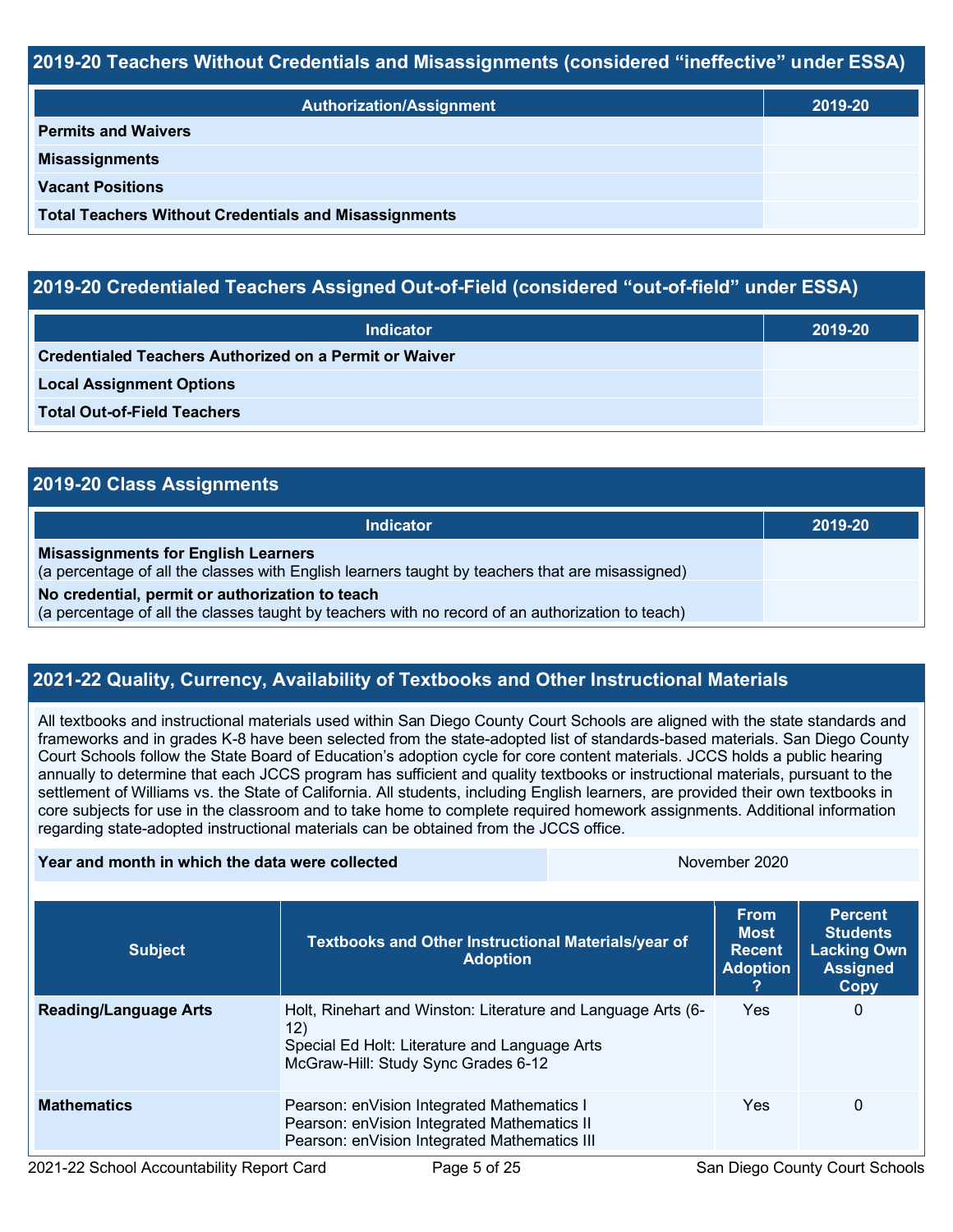## **2019-20 Teachers Without Credentials and Misassignments (considered "ineffective" under ESSA)**

| <b>Authorization/Assignment</b>                              | 2019-20 |
|--------------------------------------------------------------|---------|
| <b>Permits and Waivers</b>                                   |         |
| <b>Misassignments</b>                                        |         |
| <b>Vacant Positions</b>                                      |         |
| <b>Total Teachers Without Credentials and Misassignments</b> |         |

## **2019-20 Credentialed Teachers Assigned Out-of-Field (considered "out-of-field" under ESSA)**

| <b>Indicator</b>                                       | 2019-20 |
|--------------------------------------------------------|---------|
| Credentialed Teachers Authorized on a Permit or Waiver |         |
| <b>Local Assignment Options</b>                        |         |
| <b>Total Out-of-Field Teachers</b>                     |         |

| 2019-20 Class Assignments                                                                                                                           |         |
|-----------------------------------------------------------------------------------------------------------------------------------------------------|---------|
| <b>Indicator</b>                                                                                                                                    | 2019-20 |
| <b>Misassignments for English Learners</b><br>(a percentage of all the classes with English learners taught by teachers that are misassigned)       |         |
| No credential, permit or authorization to teach<br>(a percentage of all the classes taught by teachers with no record of an authorization to teach) |         |

## **2021-22 Quality, Currency, Availability of Textbooks and Other Instructional Materials**

All textbooks and instructional materials used within San Diego County Court Schools are aligned with the state standards and frameworks and in grades K-8 have been selected from the state-adopted list of standards-based materials. San Diego County Court Schools follow the State Board of Education's adoption cycle for core content materials. JCCS holds a public hearing annually to determine that each JCCS program has sufficient and quality textbooks or instructional materials, pursuant to the settlement of Williams vs. the State of California. All students, including English learners, are provided their own textbooks in core subjects for use in the classroom and to take home to complete required homework assignments. Additional information regarding state-adopted instructional materials can be obtained from the JCCS office.

| Year and month in which the data were collected |                                                                                                                                                             | November 2020 |                                                                |                                                                                    |  |
|-------------------------------------------------|-------------------------------------------------------------------------------------------------------------------------------------------------------------|---------------|----------------------------------------------------------------|------------------------------------------------------------------------------------|--|
| <b>Subject</b>                                  | <b>Textbooks and Other Instructional Materials/year of</b><br><b>Adoption</b>                                                                               |               | <b>From</b><br><b>Most</b><br><b>Recent</b><br><b>Adoption</b> | <b>Percent</b><br><b>Students</b><br><b>Lacking Own</b><br><b>Assigned</b><br>Copy |  |
| <b>Reading/Language Arts</b>                    | Holt, Rinehart and Winston: Literature and Language Arts (6-<br>12)<br>Special Ed Holt: Literature and Language Arts<br>McGraw-Hill: Study Sync Grades 6-12 |               | <b>Yes</b>                                                     | 0                                                                                  |  |
| <b>Mathematics</b>                              | Pearson: en Vision Integrated Mathematics I<br>Pearson: enVision Integrated Mathematics II<br>Pearson: enVision Integrated Mathematics III                  |               | <b>Yes</b>                                                     | 0                                                                                  |  |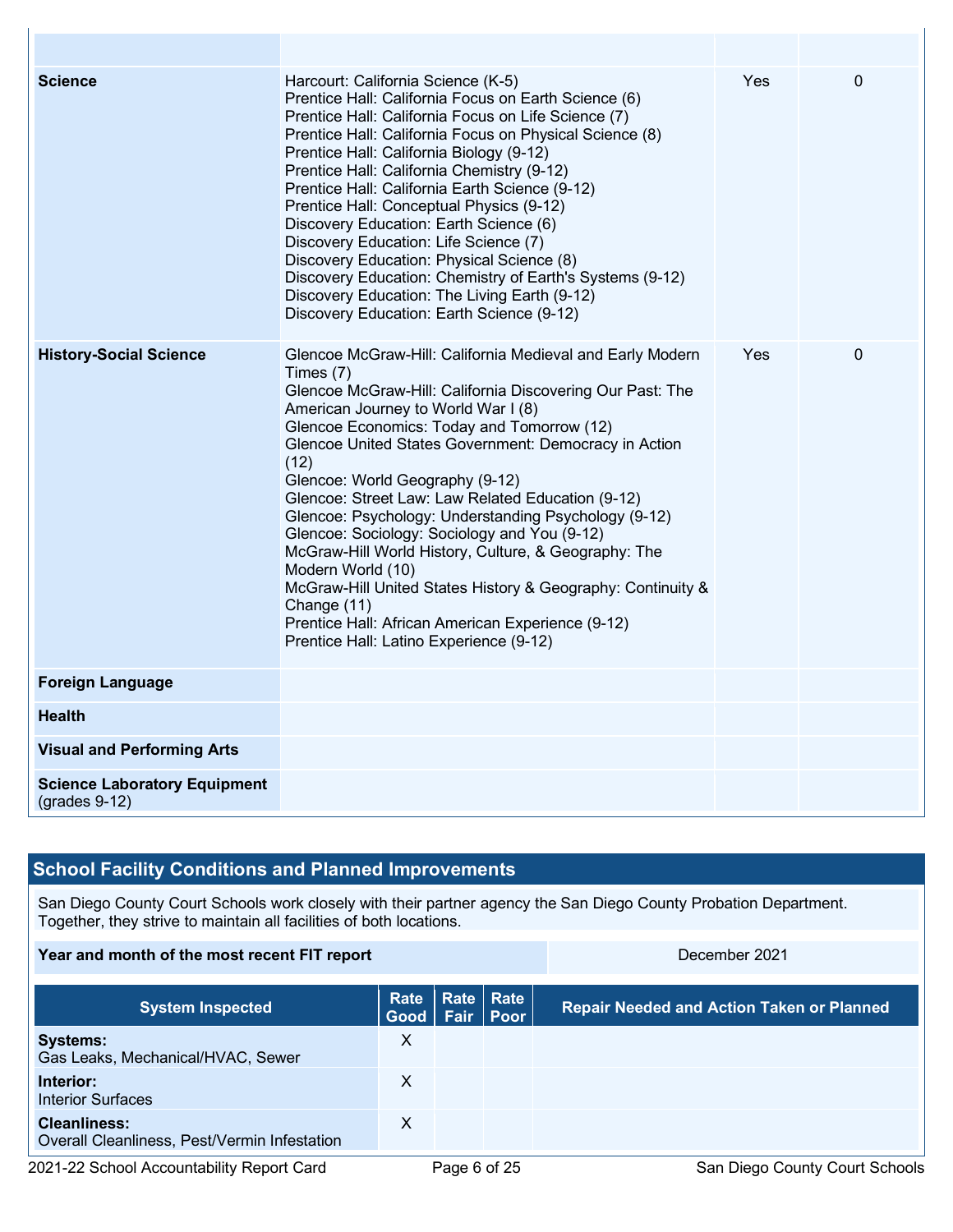| <b>Science</b>                                         | Harcourt: California Science (K-5)<br>Prentice Hall: California Focus on Earth Science (6)<br>Prentice Hall: California Focus on Life Science (7)<br>Prentice Hall: California Focus on Physical Science (8)<br>Prentice Hall: California Biology (9-12)<br>Prentice Hall: California Chemistry (9-12)<br>Prentice Hall: California Earth Science (9-12)<br>Prentice Hall: Conceptual Physics (9-12)<br>Discovery Education: Earth Science (6)<br>Discovery Education: Life Science (7)<br>Discovery Education: Physical Science (8)<br>Discovery Education: Chemistry of Earth's Systems (9-12)<br>Discovery Education: The Living Earth (9-12)<br>Discovery Education: Earth Science (9-12)                                                        | Yes        | $\Omega$ |
|--------------------------------------------------------|------------------------------------------------------------------------------------------------------------------------------------------------------------------------------------------------------------------------------------------------------------------------------------------------------------------------------------------------------------------------------------------------------------------------------------------------------------------------------------------------------------------------------------------------------------------------------------------------------------------------------------------------------------------------------------------------------------------------------------------------------|------------|----------|
| <b>History-Social Science</b>                          | Glencoe McGraw-Hill: California Medieval and Early Modern<br>Times (7)<br>Glencoe McGraw-Hill: California Discovering Our Past: The<br>American Journey to World War I (8)<br>Glencoe Economics: Today and Tomorrow (12)<br>Glencoe United States Government: Democracy in Action<br>(12)<br>Glencoe: World Geography (9-12)<br>Glencoe: Street Law: Law Related Education (9-12)<br>Glencoe: Psychology: Understanding Psychology (9-12)<br>Glencoe: Sociology: Sociology and You (9-12)<br>McGraw-Hill World History, Culture, & Geography: The<br>Modern World (10)<br>McGraw-Hill United States History & Geography: Continuity &<br>Change (11)<br>Prentice Hall: African American Experience (9-12)<br>Prentice Hall: Latino Experience (9-12) | <b>Yes</b> | 0        |
| <b>Foreign Language</b>                                |                                                                                                                                                                                                                                                                                                                                                                                                                                                                                                                                                                                                                                                                                                                                                      |            |          |
| <b>Health</b>                                          |                                                                                                                                                                                                                                                                                                                                                                                                                                                                                                                                                                                                                                                                                                                                                      |            |          |
| <b>Visual and Performing Arts</b>                      |                                                                                                                                                                                                                                                                                                                                                                                                                                                                                                                                                                                                                                                                                                                                                      |            |          |
| <b>Science Laboratory Equipment</b><br>$(grades 9-12)$ |                                                                                                                                                                                                                                                                                                                                                                                                                                                                                                                                                                                                                                                                                                                                                      |            |          |

## **School Facility Conditions and Planned Improvements**

San Diego County Court Schools work closely with their partner agency the San Diego County Probation Department. Together, they strive to maintain all facilities of both locations.

### **Year and month of the most recent FIT report** December 2021

**System Inspected Rate Good Rate Rate Fair Repair Needed and Action Taken or Planned Systems:** Gas Leaks, Mechanical/HVAC, Sewer X **Interior:** Interior Surfaces X **Cleanliness:** Overall Cleanliness, Pest/Vermin Infestation X

2021-22 School Accountability Report Card **Page 6 of 25** San Diego County Court Schools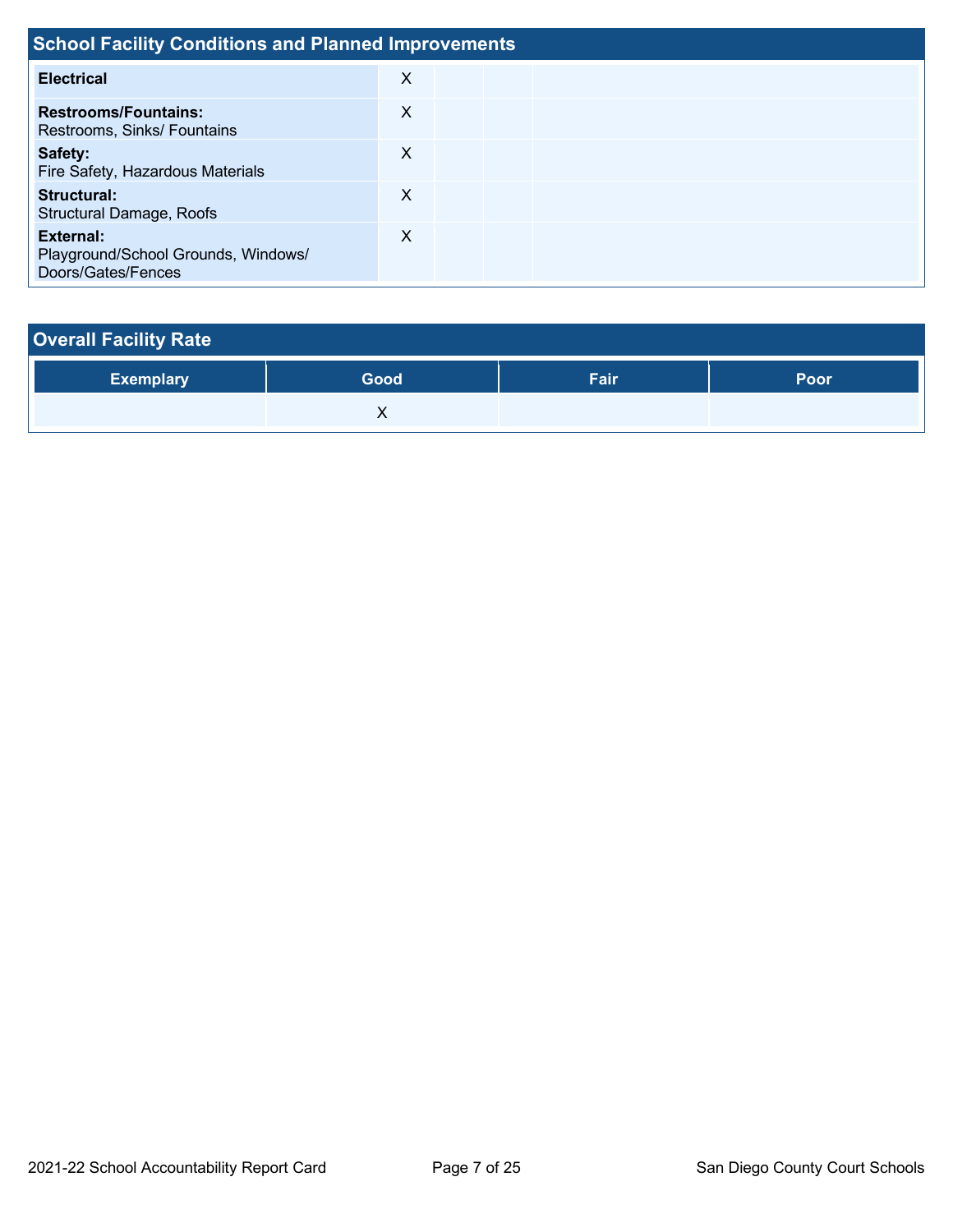| <b>School Facility Conditions and Planned Improvements</b>             |   |  |  |  |  |  |  |  |  |
|------------------------------------------------------------------------|---|--|--|--|--|--|--|--|--|
| <b>Electrical</b>                                                      | X |  |  |  |  |  |  |  |  |
| <b>Restrooms/Fountains:</b><br>Restrooms, Sinks/ Fountains             | X |  |  |  |  |  |  |  |  |
| Safety:<br>Fire Safety, Hazardous Materials                            | X |  |  |  |  |  |  |  |  |
| Structural:<br><b>Structural Damage, Roofs</b>                         | X |  |  |  |  |  |  |  |  |
| External:<br>Playground/School Grounds, Windows/<br>Doors/Gates/Fences | X |  |  |  |  |  |  |  |  |

| <b>Overall Facility Rate</b> |      |      |             |
|------------------------------|------|------|-------------|
| <b>Exemplary</b>             | Good | Fair | <b>Poor</b> |
|                              |      |      |             |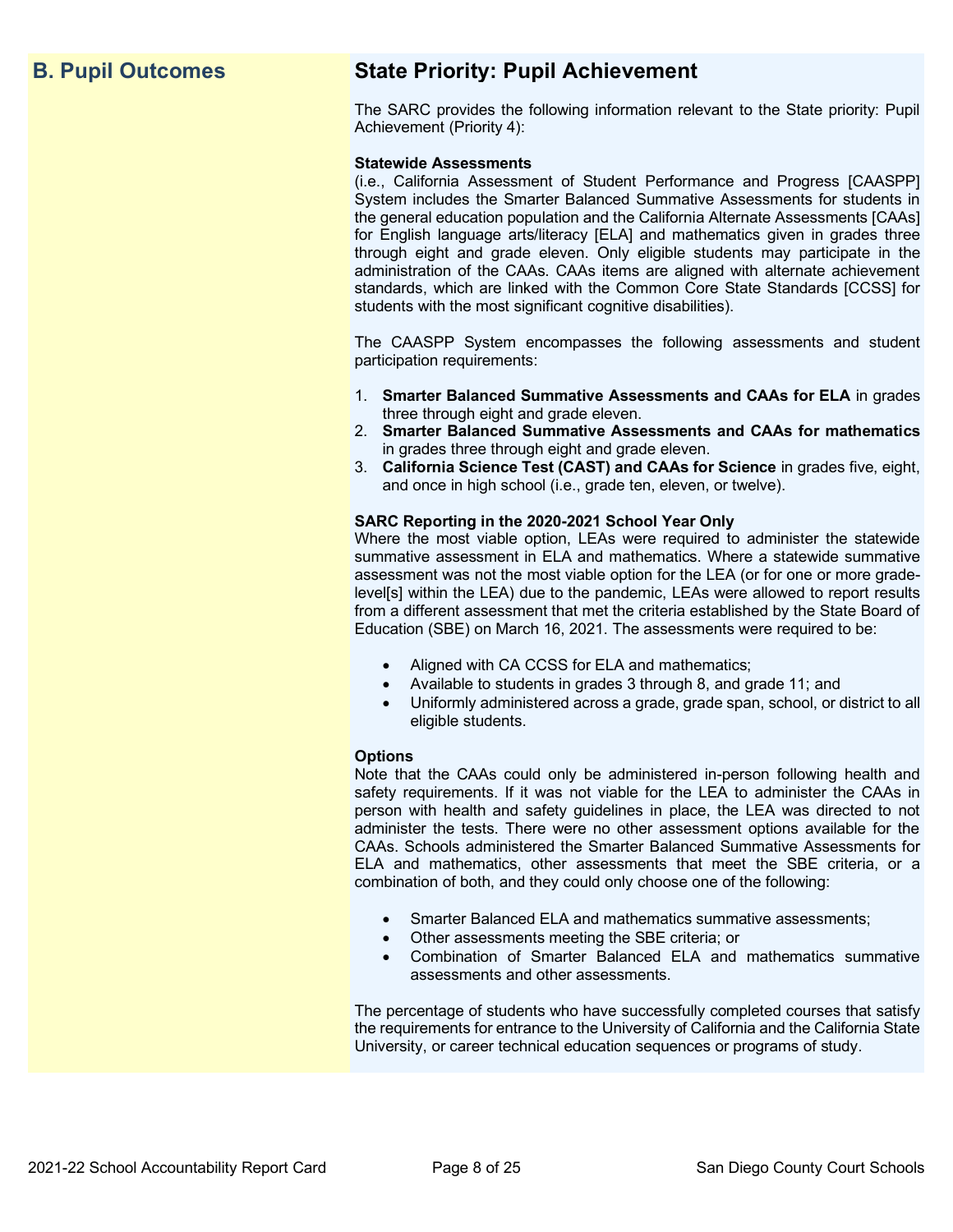## **B. Pupil Outcomes State Priority: Pupil Achievement**

The SARC provides the following information relevant to the State priority: Pupil Achievement (Priority 4):

### **Statewide Assessments**

(i.e., California Assessment of Student Performance and Progress [CAASPP] System includes the Smarter Balanced Summative Assessments for students in the general education population and the California Alternate Assessments [CAAs] for English language arts/literacy [ELA] and mathematics given in grades three through eight and grade eleven. Only eligible students may participate in the administration of the CAAs. CAAs items are aligned with alternate achievement standards, which are linked with the Common Core State Standards [CCSS] for students with the most significant cognitive disabilities).

The CAASPP System encompasses the following assessments and student participation requirements:

- 1. **Smarter Balanced Summative Assessments and CAAs for ELA** in grades three through eight and grade eleven.
- 2. **Smarter Balanced Summative Assessments and CAAs for mathematics** in grades three through eight and grade eleven.
- 3. **California Science Test (CAST) and CAAs for Science** in grades five, eight, and once in high school (i.e., grade ten, eleven, or twelve).

### **SARC Reporting in the 2020-2021 School Year Only**

Where the most viable option, LEAs were required to administer the statewide summative assessment in ELA and mathematics. Where a statewide summative assessment was not the most viable option for the LEA (or for one or more gradelevel[s] within the LEA) due to the pandemic, LEAs were allowed to report results from a different assessment that met the criteria established by the State Board of Education (SBE) on March 16, 2021. The assessments were required to be:

- Aligned with CA CCSS for ELA and mathematics;
- Available to students in grades 3 through 8, and grade 11; and
- Uniformly administered across a grade, grade span, school, or district to all eligible students.

### **Options**

Note that the CAAs could only be administered in-person following health and safety requirements. If it was not viable for the LEA to administer the CAAs in person with health and safety guidelines in place, the LEA was directed to not administer the tests. There were no other assessment options available for the CAAs. Schools administered the Smarter Balanced Summative Assessments for ELA and mathematics, other assessments that meet the SBE criteria, or a combination of both, and they could only choose one of the following:

- Smarter Balanced ELA and mathematics summative assessments;
- Other assessments meeting the SBE criteria; or
- Combination of Smarter Balanced ELA and mathematics summative assessments and other assessments.

The percentage of students who have successfully completed courses that satisfy the requirements for entrance to the University of California and the California State University, or career technical education sequences or programs of study.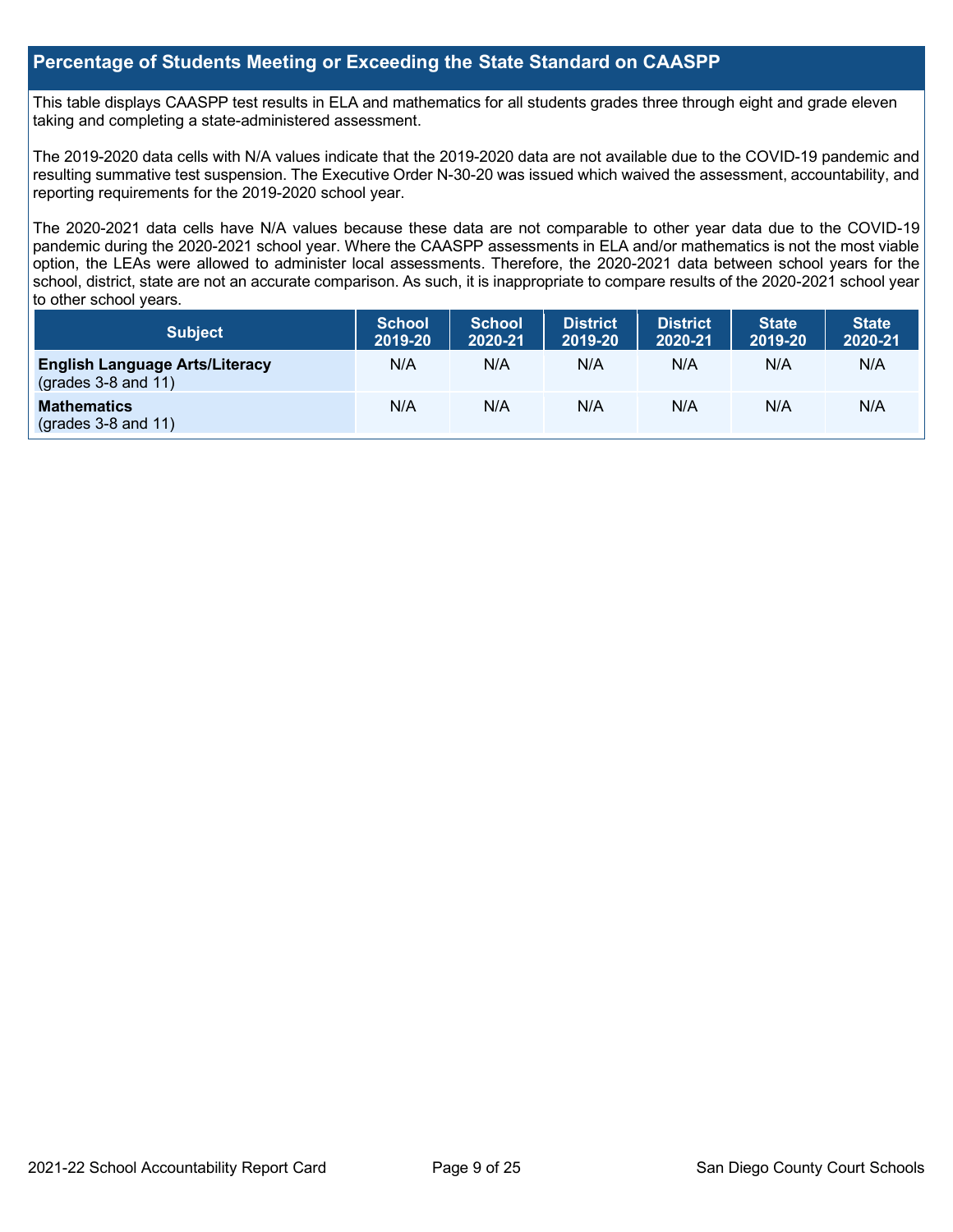## **Percentage of Students Meeting or Exceeding the State Standard on CAASPP**

This table displays CAASPP test results in ELA and mathematics for all students grades three through eight and grade eleven taking and completing a state-administered assessment.

The 2019-2020 data cells with N/A values indicate that the 2019-2020 data are not available due to the COVID-19 pandemic and resulting summative test suspension. The Executive Order N-30-20 was issued which waived the assessment, accountability, and reporting requirements for the 2019-2020 school year.

The 2020-2021 data cells have N/A values because these data are not comparable to other year data due to the COVID-19 pandemic during the 2020-2021 school year. Where the CAASPP assessments in ELA and/or mathematics is not the most viable option, the LEAs were allowed to administer local assessments. Therefore, the 2020-2021 data between school years for the school, district, state are not an accurate comparison. As such, it is inappropriate to compare results of the 2020-2021 school year to other school years.

| <b>Subject</b>                                                    | <b>School</b><br>2019-20 | <b>School</b><br>2020-21 | <b>District</b><br>2019-20 | <b>District</b><br>2020-21 | <b>State</b><br>2019-20 | <b>State</b><br>2020-21 |
|-------------------------------------------------------------------|--------------------------|--------------------------|----------------------------|----------------------------|-------------------------|-------------------------|
| <b>English Language Arts/Literacy</b><br>(grades $3-8$ and $11$ ) | N/A                      | N/A                      | N/A                        | N/A                        | N/A                     | N/A                     |
| <b>Mathematics</b><br>$(grades 3-8 and 11)$                       | N/A                      | N/A                      | N/A                        | N/A                        | N/A                     | N/A                     |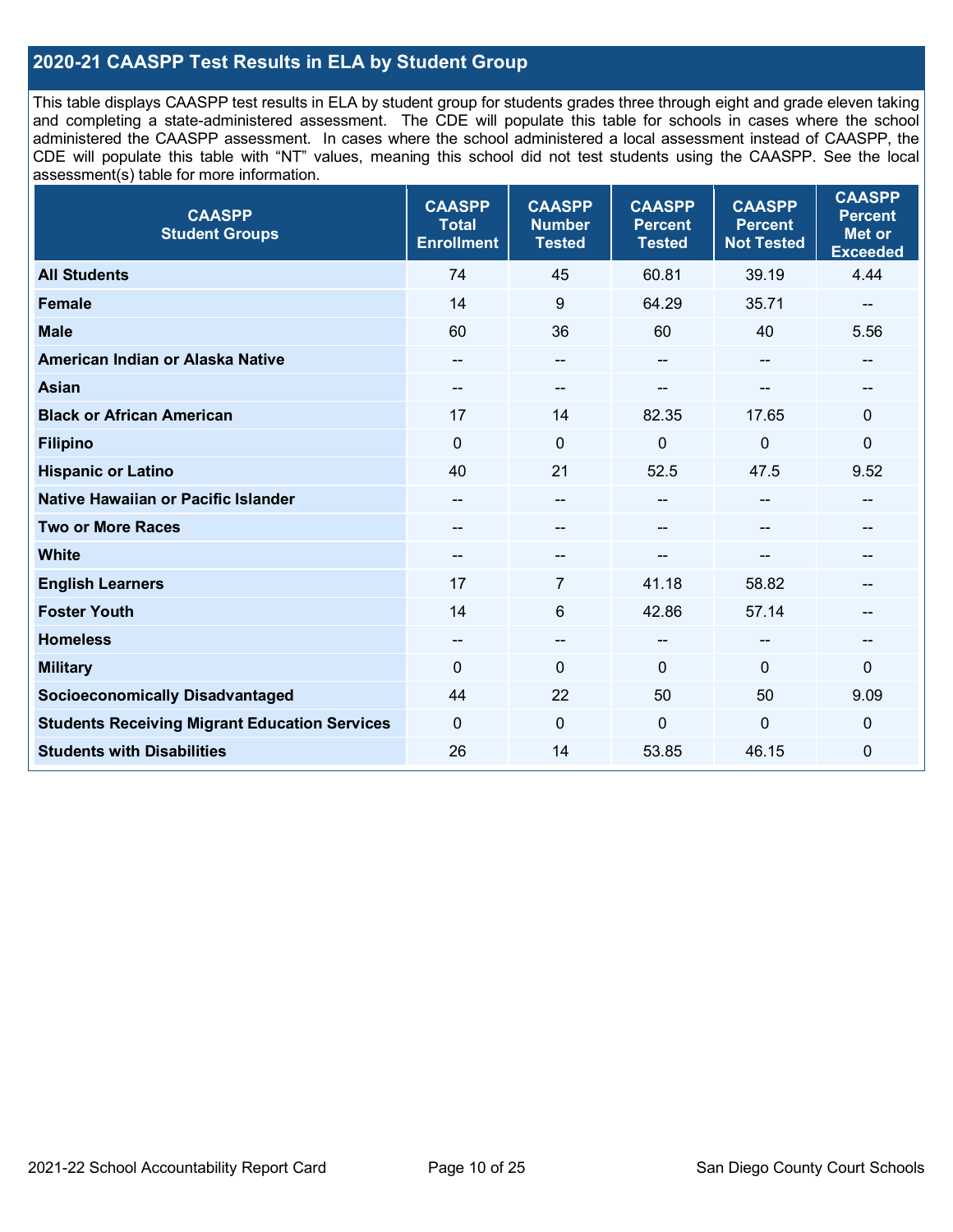## **2020-21 CAASPP Test Results in ELA by Student Group**

This table displays CAASPP test results in ELA by student group for students grades three through eight and grade eleven taking and completing a state-administered assessment. The CDE will populate this table for schools in cases where the school administered the CAASPP assessment. In cases where the school administered a local assessment instead of CAASPP, the CDE will populate this table with "NT" values, meaning this school did not test students using the CAASPP. See the local assessment(s) table for more information.

| <b>CAASPP</b><br><b>Student Groups</b>               | <b>CAASPP</b><br><b>Total</b><br><b>Enrollment</b> | <b>CAASPP</b><br><b>Number</b><br><b>Tested</b> | <b>CAASPP</b><br><b>Percent</b><br><b>Tested</b> | <b>CAASPP</b><br><b>Percent</b><br><b>Not Tested</b> | <b>CAASPP</b><br><b>Percent</b><br><b>Met or</b><br><b>Exceeded</b> |
|------------------------------------------------------|----------------------------------------------------|-------------------------------------------------|--------------------------------------------------|------------------------------------------------------|---------------------------------------------------------------------|
| <b>All Students</b>                                  | 74                                                 | 45                                              | 60.81                                            | 39.19                                                | 4.44                                                                |
| <b>Female</b>                                        | 14                                                 | 9                                               | 64.29                                            | 35.71                                                |                                                                     |
| <b>Male</b>                                          | 60                                                 | 36                                              | 60                                               | 40                                                   | 5.56                                                                |
| American Indian or Alaska Native                     | --                                                 | $\overline{\phantom{a}}$                        | --                                               | $-$                                                  | $\overline{\phantom{m}}$                                            |
| <b>Asian</b>                                         |                                                    | --                                              |                                                  |                                                      |                                                                     |
| <b>Black or African American</b>                     | 17                                                 | 14                                              | 82.35                                            | 17.65                                                | $\mathbf 0$                                                         |
| <b>Filipino</b>                                      | $\mathbf 0$                                        | $\mathbf 0$                                     | $\overline{0}$                                   | $\mathbf 0$                                          | $\mathbf 0$                                                         |
| <b>Hispanic or Latino</b>                            | 40                                                 | 21                                              | 52.5                                             | 47.5                                                 | 9.52                                                                |
| <b>Native Hawaiian or Pacific Islander</b>           | $\overline{\phantom{m}}$                           | $\overline{\phantom{a}}$                        | $-$                                              | $\sim$ $\sim$                                        | $\overline{\phantom{a}}$                                            |
| <b>Two or More Races</b>                             | $- -$                                              | --                                              | --                                               | --                                                   | $- -$                                                               |
| <b>White</b>                                         | $\overline{\phantom{m}}$                           | --                                              | --                                               | --                                                   | --                                                                  |
| <b>English Learners</b>                              | 17                                                 | 7                                               | 41.18                                            | 58.82                                                |                                                                     |
| <b>Foster Youth</b>                                  | 14                                                 | 6                                               | 42.86                                            | 57.14                                                |                                                                     |
| <b>Homeless</b>                                      | $\hspace{0.05cm}$                                  | $\hspace{0.05cm}$ $\hspace{0.05cm}$             | $-$                                              | $\overline{\phantom{a}}$                             | --                                                                  |
| <b>Military</b>                                      | $\mathbf{0}$                                       | $\mathbf 0$                                     | $\mathbf{0}$                                     | $\mathbf 0$                                          | 0                                                                   |
| <b>Socioeconomically Disadvantaged</b>               | 44                                                 | 22                                              | 50                                               | 50                                                   | 9.09                                                                |
| <b>Students Receiving Migrant Education Services</b> | $\mathbf{0}$                                       | $\mathbf{0}$                                    | 0                                                | 0                                                    | 0                                                                   |
| <b>Students with Disabilities</b>                    | 26                                                 | 14                                              | 53.85                                            | 46.15                                                | $\mathbf 0$                                                         |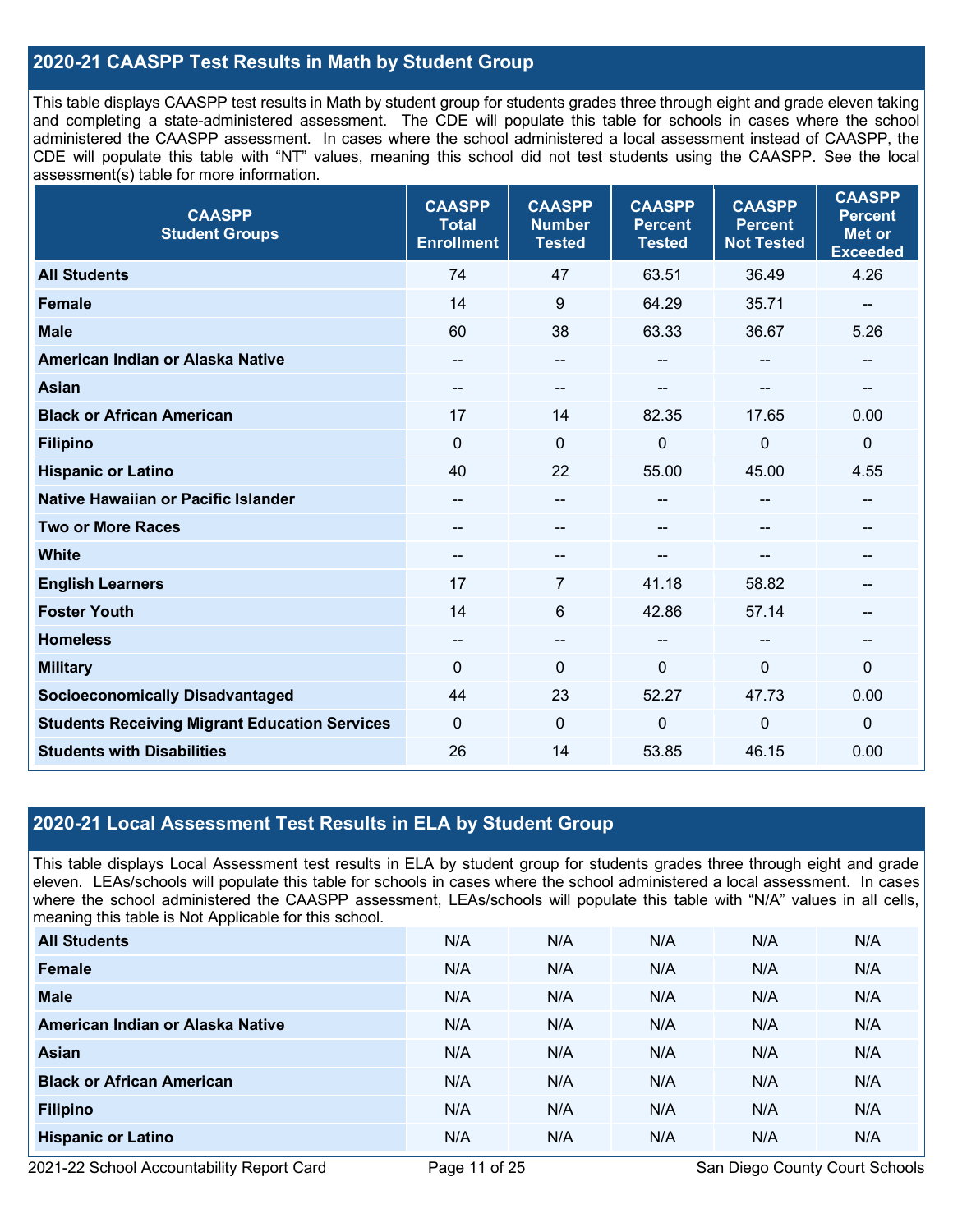## **2020-21 CAASPP Test Results in Math by Student Group**

This table displays CAASPP test results in Math by student group for students grades three through eight and grade eleven taking and completing a state-administered assessment. The CDE will populate this table for schools in cases where the school administered the CAASPP assessment. In cases where the school administered a local assessment instead of CAASPP, the CDE will populate this table with "NT" values, meaning this school did not test students using the CAASPP. See the local assessment(s) table for more information.

| <b>CAASPP</b><br><b>Student Groups</b>               | <b>CAASPP</b><br><b>Total</b><br><b>Enrollment</b> | <b>CAASPP</b><br><b>Number</b><br><b>Tested</b> | <b>CAASPP</b><br><b>Percent</b><br><b>Tested</b> | <b>CAASPP</b><br><b>Percent</b><br><b>Not Tested</b> | <b>CAASPP</b><br><b>Percent</b><br><b>Met or</b><br><b>Exceeded</b> |
|------------------------------------------------------|----------------------------------------------------|-------------------------------------------------|--------------------------------------------------|------------------------------------------------------|---------------------------------------------------------------------|
| <b>All Students</b>                                  | 74                                                 | 47                                              | 63.51                                            | 36.49                                                | 4.26                                                                |
| <b>Female</b>                                        | 14                                                 | 9                                               | 64.29                                            | 35.71                                                |                                                                     |
| <b>Male</b>                                          | 60                                                 | 38                                              | 63.33                                            | 36.67                                                | 5.26                                                                |
| American Indian or Alaska Native                     | $\qquad \qquad$                                    | $\sim$                                          | --                                               | $- -$                                                | $\qquad \qquad$                                                     |
| <b>Asian</b>                                         |                                                    | --                                              |                                                  |                                                      | --                                                                  |
| <b>Black or African American</b>                     | 17                                                 | 14                                              | 82.35                                            | 17.65                                                | 0.00                                                                |
| <b>Filipino</b>                                      | $\mathbf 0$                                        | $\overline{0}$                                  | 0                                                | $\mathbf 0$                                          | $\mathbf 0$                                                         |
| <b>Hispanic or Latino</b>                            | 40                                                 | 22                                              | 55.00                                            | 45.00                                                | 4.55                                                                |
| Native Hawaiian or Pacific Islander                  | $\overline{\phantom{a}}$                           | $\overline{\phantom{a}}$                        | $-$                                              | $\overline{\phantom{a}}$                             | --                                                                  |
| <b>Two or More Races</b>                             | $\qquad \qquad$                                    | $\overline{\phantom{a}}$                        | --                                               | --                                                   | $\qquad \qquad$                                                     |
| <b>White</b>                                         | $\overline{\phantom{a}}$                           | --                                              |                                                  |                                                      | --                                                                  |
| <b>English Learners</b>                              | 17                                                 | 7                                               | 41.18                                            | 58.82                                                |                                                                     |
| <b>Foster Youth</b>                                  | 14                                                 | 6                                               | 42.86                                            | 57.14                                                |                                                                     |
| <b>Homeless</b>                                      | $\overline{\phantom{a}}$                           | $\hspace{0.05cm}$ $\hspace{0.05cm}$             | $\overline{a}$                                   | $\sim$ $\sim$                                        | $\hspace{0.05cm}$                                                   |
| <b>Military</b>                                      | $\mathbf{0}$                                       | $\mathbf 0$                                     | 0                                                | 0                                                    | $\mathbf 0$                                                         |
| <b>Socioeconomically Disadvantaged</b>               | 44                                                 | 23                                              | 52.27                                            | 47.73                                                | 0.00                                                                |
| <b>Students Receiving Migrant Education Services</b> | $\mathbf{0}$                                       | $\mathbf{0}$                                    | 0                                                | 0                                                    | $\mathbf 0$                                                         |
| <b>Students with Disabilities</b>                    | 26                                                 | 14                                              | 53.85                                            | 46.15                                                | 0.00                                                                |

## **2020-21 Local Assessment Test Results in ELA by Student Group**

This table displays Local Assessment test results in ELA by student group for students grades three through eight and grade eleven. LEAs/schools will populate this table for schools in cases where the school administered a local assessment. In cases where the school administered the CAASPP assessment, LEAs/schools will populate this table with "N/A" values in all cells, meaning this table is Not Applicable for this school.

| <b>All Students</b>              | N/A | N/A | N/A | N/A | N/A |
|----------------------------------|-----|-----|-----|-----|-----|
| <b>Female</b>                    | N/A | N/A | N/A | N/A | N/A |
| <b>Male</b>                      | N/A | N/A | N/A | N/A | N/A |
| American Indian or Alaska Native | N/A | N/A | N/A | N/A | N/A |
| <b>Asian</b>                     | N/A | N/A | N/A | N/A | N/A |
| <b>Black or African American</b> | N/A | N/A | N/A | N/A | N/A |
| <b>Filipino</b>                  | N/A | N/A | N/A | N/A | N/A |
| <b>Hispanic or Latino</b>        | N/A | N/A | N/A | N/A | N/A |

2021-22 School Accountability Report Card **Page 11 of 25** San Diego County Court Schools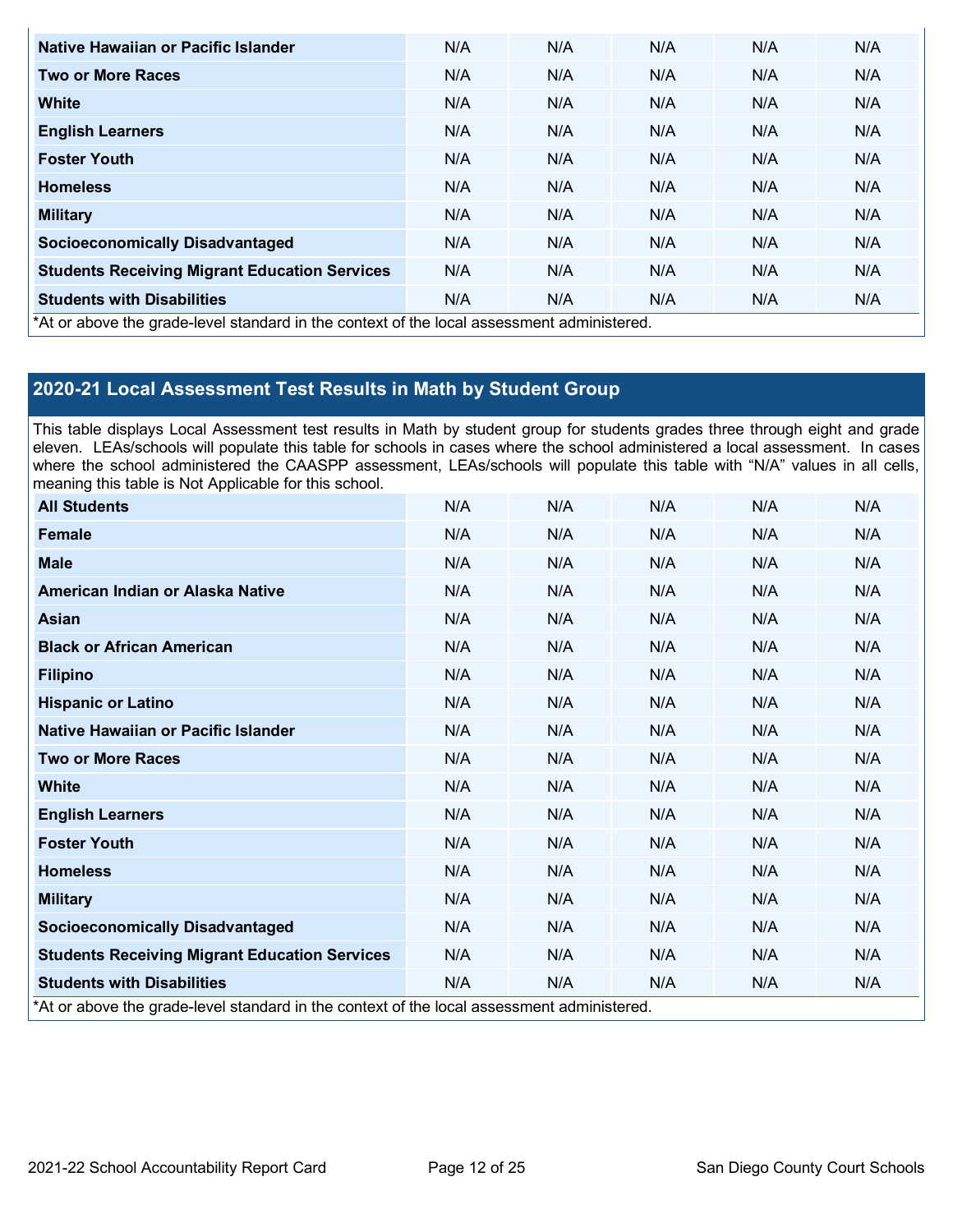| Native Hawaiian or Pacific Islander                                                        | N/A | N/A | N/A | N/A | N/A |
|--------------------------------------------------------------------------------------------|-----|-----|-----|-----|-----|
| <b>Two or More Races</b>                                                                   | N/A | N/A | N/A | N/A | N/A |
| White                                                                                      | N/A | N/A | N/A | N/A | N/A |
| <b>English Learners</b>                                                                    | N/A | N/A | N/A | N/A | N/A |
| <b>Foster Youth</b>                                                                        | N/A | N/A | N/A | N/A | N/A |
| <b>Homeless</b>                                                                            | N/A | N/A | N/A | N/A | N/A |
| <b>Military</b>                                                                            | N/A | N/A | N/A | N/A | N/A |
| <b>Socioeconomically Disadvantaged</b>                                                     | N/A | N/A | N/A | N/A | N/A |
| <b>Students Receiving Migrant Education Services</b>                                       | N/A | N/A | N/A | N/A | N/A |
| <b>Students with Disabilities</b>                                                          | N/A | N/A | N/A | N/A | N/A |
| *At or above the grade-level standard in the context of the local assessment administered. |     |     |     |     |     |

## **2020-21 Local Assessment Test Results in Math by Student Group**

This table displays Local Assessment test results in Math by student group for students grades three through eight and grade eleven. LEAs/schools will populate this table for schools in cases where the school administered a local assessment. In cases where the school administered the CAASPP assessment, LEAs/schools will populate this table with "N/A" values in all cells, meaning this table is Not Applicable for this school.

| <b>All Students</b>                                                                        | N/A | N/A | N/A | N/A | N/A |
|--------------------------------------------------------------------------------------------|-----|-----|-----|-----|-----|
| <b>Female</b>                                                                              | N/A | N/A | N/A | N/A | N/A |
| <b>Male</b>                                                                                | N/A | N/A | N/A | N/A | N/A |
| American Indian or Alaska Native                                                           | N/A | N/A | N/A | N/A | N/A |
| Asian                                                                                      | N/A | N/A | N/A | N/A | N/A |
| <b>Black or African American</b>                                                           | N/A | N/A | N/A | N/A | N/A |
| <b>Filipino</b>                                                                            | N/A | N/A | N/A | N/A | N/A |
| <b>Hispanic or Latino</b>                                                                  | N/A | N/A | N/A | N/A | N/A |
| Native Hawaiian or Pacific Islander                                                        | N/A | N/A | N/A | N/A | N/A |
| <b>Two or More Races</b>                                                                   | N/A | N/A | N/A | N/A | N/A |
| <b>White</b>                                                                               | N/A | N/A | N/A | N/A | N/A |
| <b>English Learners</b>                                                                    | N/A | N/A | N/A | N/A | N/A |
| <b>Foster Youth</b>                                                                        | N/A | N/A | N/A | N/A | N/A |
| <b>Homeless</b>                                                                            | N/A | N/A | N/A | N/A | N/A |
| <b>Military</b>                                                                            | N/A | N/A | N/A | N/A | N/A |
| <b>Socioeconomically Disadvantaged</b>                                                     | N/A | N/A | N/A | N/A | N/A |
| <b>Students Receiving Migrant Education Services</b>                                       | N/A | N/A | N/A | N/A | N/A |
| <b>Students with Disabilities</b>                                                          | N/A | N/A | N/A | N/A | N/A |
| *At or above the grade-level standard in the context of the local assessment administered. |     |     |     |     |     |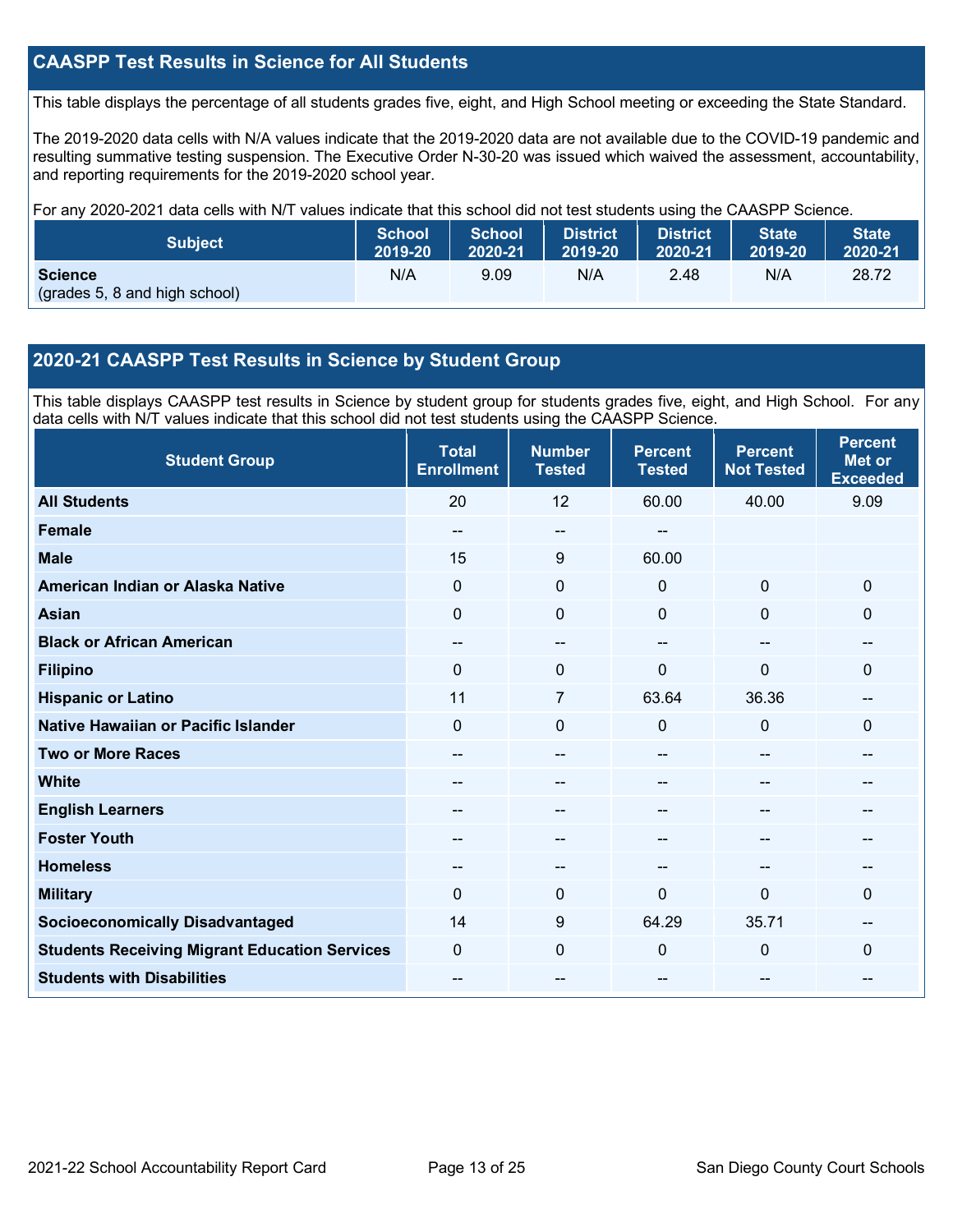## **CAASPP Test Results in Science for All Students**

This table displays the percentage of all students grades five, eight, and High School meeting or exceeding the State Standard.

The 2019-2020 data cells with N/A values indicate that the 2019-2020 data are not available due to the COVID-19 pandemic and resulting summative testing suspension. The Executive Order N-30-20 was issued which waived the assessment, accountability, and reporting requirements for the 2019-2020 school year.

For any 2020-2021 data cells with N/T values indicate that this school did not test students using the CAASPP Science.

| <b>Subject</b>                                  | <b>School</b> | <b>School</b> | <b>District</b> | <b>District</b> | <b>State</b> | <b>State</b> |
|-------------------------------------------------|---------------|---------------|-----------------|-----------------|--------------|--------------|
|                                                 | 2019-20       | 2020-21       | 2019-20         | 2020-21         | 2019-20      | 2020-21      |
| <b>Science</b><br>(grades 5, 8 and high school) | N/A           | 9.09          | N/A             | 2.48            | N/A          | 28.72        |

## **2020-21 CAASPP Test Results in Science by Student Group**

This table displays CAASPP test results in Science by student group for students grades five, eight, and High School. For any data cells with N/T values indicate that this school did not test students using the CAASPP Science.

| <b>Student Group</b>                                 | <b>Total</b><br><b>Enrollment</b> | <b>Number</b><br><b>Tested</b> | <b>Percent</b><br><b>Tested</b> | <b>Percent</b><br><b>Not Tested</b> | <b>Percent</b><br><b>Met or</b><br><b>Exceeded</b> |
|------------------------------------------------------|-----------------------------------|--------------------------------|---------------------------------|-------------------------------------|----------------------------------------------------|
| <b>All Students</b>                                  | 20                                | 12                             | 60.00                           | 40.00                               | 9.09                                               |
| Female                                               | --                                | $\overline{\phantom{m}}$       |                                 |                                     |                                                    |
| <b>Male</b>                                          | 15                                | $9\,$                          | 60.00                           |                                     |                                                    |
| American Indian or Alaska Native                     | 0                                 | $\mathbf 0$                    | 0                               | $\mathbf{0}$                        | $\mathbf 0$                                        |
| <b>Asian</b>                                         | 0                                 | $\mathbf 0$                    | $\mathbf 0$                     | $\mathbf 0$                         | 0                                                  |
| <b>Black or African American</b>                     | --                                | $\overline{\phantom{m}}$       |                                 | --                                  | --                                                 |
| <b>Filipino</b>                                      | 0                                 | $\mathbf 0$                    | 0                               | 0                                   | 0                                                  |
| <b>Hispanic or Latino</b>                            | 11                                | 7                              | 63.64                           | 36.36                               | --                                                 |
| Native Hawaiian or Pacific Islander                  | 0                                 | $\mathbf 0$                    | 0                               | $\mathbf 0$                         | 0                                                  |
| <b>Two or More Races</b>                             | --                                | --                             | --                              | --                                  | --                                                 |
| <b>White</b>                                         | --                                | $\sim$                         | --                              | --                                  | --                                                 |
| <b>English Learners</b>                              |                                   | --                             |                                 | --                                  |                                                    |
| <b>Foster Youth</b>                                  |                                   | --                             |                                 | --                                  | --                                                 |
| <b>Homeless</b>                                      |                                   | --                             |                                 |                                     | --                                                 |
| <b>Military</b>                                      | $\Omega$                          | $\mathbf 0$                    | 0                               | $\mathbf 0$                         | 0                                                  |
| <b>Socioeconomically Disadvantaged</b>               | 14                                | $\boldsymbol{9}$               | 64.29                           | 35.71                               | --                                                 |
| <b>Students Receiving Migrant Education Services</b> | 0                                 | $\mathbf 0$                    | $\Omega$                        | $\mathbf 0$                         | 0                                                  |
| <b>Students with Disabilities</b>                    | --                                | --                             | --                              | --                                  | --                                                 |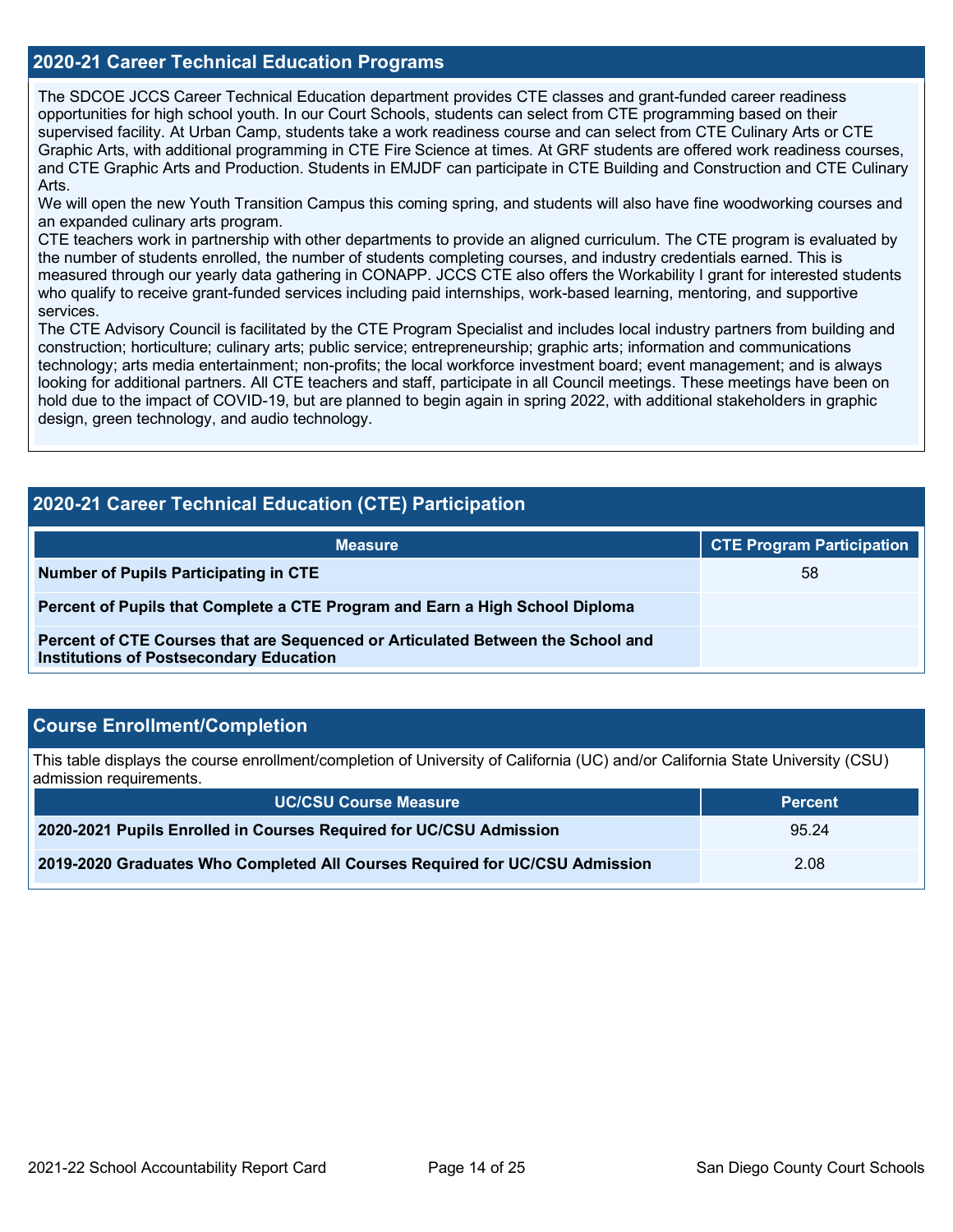### **2020-21 Career Technical Education Programs**

The SDCOE JCCS Career Technical Education department provides CTE classes and grant-funded career readiness opportunities for high school youth. In our Court Schools, students can select from CTE programming based on their supervised facility. At Urban Camp, students take a work readiness course and can select from CTE Culinary Arts or CTE Graphic Arts, with additional programming in CTE Fire Science at times. At GRF students are offered work readiness courses, and CTE Graphic Arts and Production. Students in EMJDF can participate in CTE Building and Construction and CTE Culinary Arts.

We will open the new Youth Transition Campus this coming spring, and students will also have fine woodworking courses and an expanded culinary arts program.

CTE teachers work in partnership with other departments to provide an aligned curriculum. The CTE program is evaluated by the number of students enrolled, the number of students completing courses, and industry credentials earned. This is measured through our yearly data gathering in CONAPP. JCCS CTE also offers the Workability I grant for interested students who qualify to receive grant-funded services including paid internships, work-based learning, mentoring, and supportive services.

The CTE Advisory Council is facilitated by the CTE Program Specialist and includes local industry partners from building and construction; horticulture; culinary arts; public service; entrepreneurship; graphic arts; information and communications technology; arts media entertainment; non-profits; the local workforce investment board; event management; and is always looking for additional partners. All CTE teachers and staff, participate in all Council meetings. These meetings have been on hold due to the impact of COVID-19, but are planned to begin again in spring 2022, with additional stakeholders in graphic design, green technology, and audio technology.

| 2020-21 Career Technical Education (CTE) Participation                                                                            |                                  |  |  |  |  |  |  |
|-----------------------------------------------------------------------------------------------------------------------------------|----------------------------------|--|--|--|--|--|--|
| <b>Measure</b>                                                                                                                    | <b>CTE Program Participation</b> |  |  |  |  |  |  |
| <b>Number of Pupils Participating in CTE</b>                                                                                      | 58                               |  |  |  |  |  |  |
| Percent of Pupils that Complete a CTE Program and Earn a High School Diploma                                                      |                                  |  |  |  |  |  |  |
| Percent of CTE Courses that are Sequenced or Articulated Between the School and<br><b>Institutions of Postsecondary Education</b> |                                  |  |  |  |  |  |  |

### **Course Enrollment/Completion**

This table displays the course enrollment/completion of University of California (UC) and/or California State University (CSU) admission requirements.

| <b>UC/CSU Course Measure</b>                                                | <b>Percent</b> |
|-----------------------------------------------------------------------------|----------------|
| 2020-2021 Pupils Enrolled in Courses Required for UC/CSU Admission          | 95.24          |
| 2019-2020 Graduates Who Completed All Courses Required for UC/CSU Admission | 2.08           |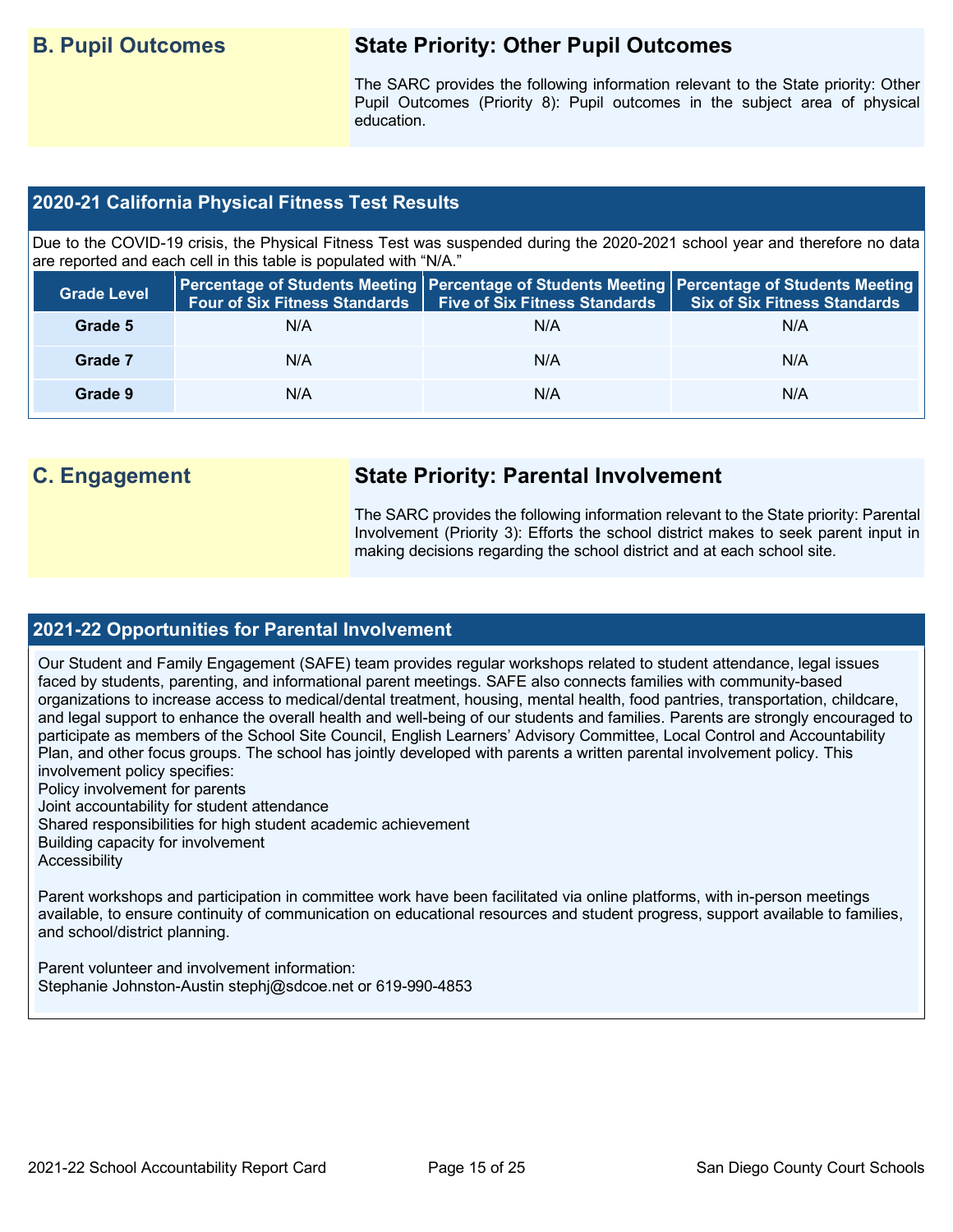## **B. Pupil Outcomes State Priority: Other Pupil Outcomes**

The SARC provides the following information relevant to the State priority: Other Pupil Outcomes (Priority 8): Pupil outcomes in the subject area of physical education.

## **2020-21 California Physical Fitness Test Results**

Due to the COVID-19 crisis, the Physical Fitness Test was suspended during the 2020-2021 school year and therefore no data are reported and each cell in this table is populated with "N/A."

| <b>Grade Level</b> | <b>Four of Six Fitness Standards</b> | Five of Six Fitness Standards   Six of Six Fitness Standards | Percentage of Students Meeting   Percentage of Students Meeting   Percentage of Students Meeting |
|--------------------|--------------------------------------|--------------------------------------------------------------|--------------------------------------------------------------------------------------------------|
| Grade 5            | N/A                                  | N/A                                                          | N/A                                                                                              |
| Grade 7            | N/A                                  | N/A                                                          | N/A                                                                                              |
| Grade 9            | N/A                                  | N/A                                                          | N/A                                                                                              |

## **C. Engagement State Priority: Parental Involvement**

The SARC provides the following information relevant to the State priority: Parental Involvement (Priority 3): Efforts the school district makes to seek parent input in making decisions regarding the school district and at each school site.

## **2021-22 Opportunities for Parental Involvement**

Our Student and Family Engagement (SAFE) team provides regular workshops related to student attendance, legal issues faced by students, parenting, and informational parent meetings. SAFE also connects families with community-based organizations to increase access to medical/dental treatment, housing, mental health, food pantries, transportation, childcare, and legal support to enhance the overall health and well-being of our students and families. Parents are strongly encouraged to participate as members of the School Site Council, English Learners' Advisory Committee, Local Control and Accountability Plan, and other focus groups. The school has jointly developed with parents a written parental involvement policy. This involvement policy specifies:

Policy involvement for parents

Joint accountability for student attendance

Shared responsibilities for high student academic achievement

Building capacity for involvement

**Accessibility** 

Parent workshops and participation in committee work have been facilitated via online platforms, with in-person meetings available, to ensure continuity of communication on educational resources and student progress, support available to families, and school/district planning.

Parent volunteer and involvement information: Stephanie Johnston-Austin stephj@sdcoe.net or 619-990-4853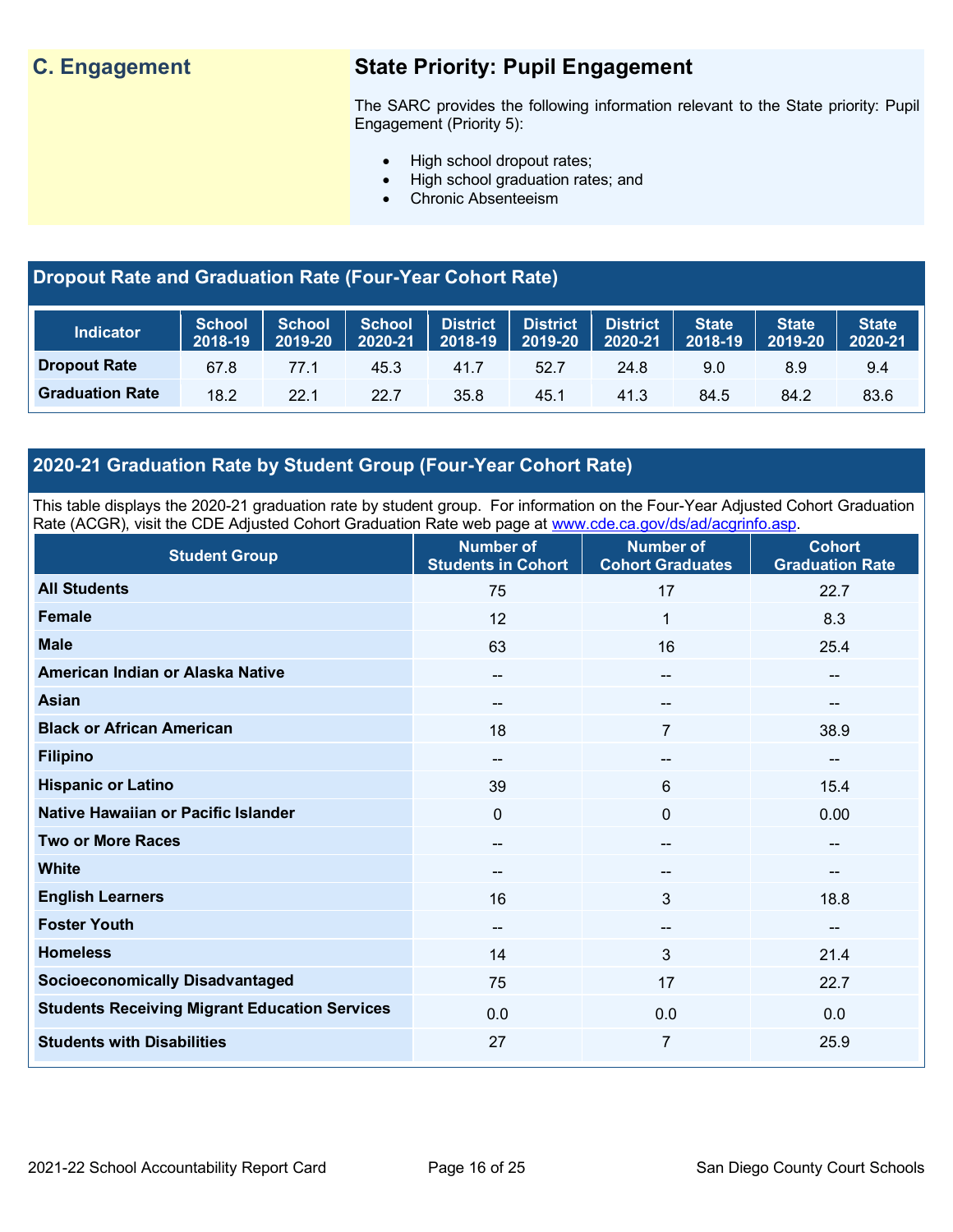## **C. Engagement State Priority: Pupil Engagement**

The SARC provides the following information relevant to the State priority: Pupil Engagement (Priority 5):

- High school dropout rates;
- High school graduation rates; and
- Chronic Absenteeism

## **Dropout Rate and Graduation Rate (Four-Year Cohort Rate)**

| <b>Indicator</b>       | 2018-19 | 2019-20 ∣ | $2020 - 21$ | School   School   School   District   District   District  <br>$\vert$ 2018-19 2019-20 $\vert$ |      | $\sqrt{2020-21}$ | <b>State</b><br>2018-19 | <b>State</b><br>2019-20 | <b>State</b><br>2020-21 |
|------------------------|---------|-----------|-------------|------------------------------------------------------------------------------------------------|------|------------------|-------------------------|-------------------------|-------------------------|
| <b>Dropout Rate</b>    | 67.8    | 77.1      | 45.3        | 41.7                                                                                           | 52.7 | 24.8             | 9.0                     | 8.9                     | 9.4                     |
| <b>Graduation Rate</b> | 18.2    | 22.1      | 22.7        | 35.8                                                                                           | 45.1 | 41.3             | 84.5                    | 84.2                    | 83.6                    |

## **2020-21 Graduation Rate by Student Group (Four-Year Cohort Rate)**

This table displays the 2020-21 graduation rate by student group. For information on the Four-Year Adjusted Cohort Graduation Rate (ACGR), visit the CDE Adjusted Cohort Graduation Rate web page at [www.cde.ca.gov/ds/ad/acgrinfo.asp.](http://www.cde.ca.gov/ds/ad/acgrinfo.asp)

| <b>Student Group</b>                                 | <b>Number of</b><br><b>Students in Cohort</b> | <b>Number of</b><br><b>Cohort Graduates</b> | <b>Cohort</b><br><b>Graduation Rate</b> |
|------------------------------------------------------|-----------------------------------------------|---------------------------------------------|-----------------------------------------|
| <b>All Students</b>                                  | 75                                            | 17                                          | 22.7                                    |
| Female                                               | 12                                            | 1                                           | 8.3                                     |
| <b>Male</b>                                          | 63                                            | 16                                          | 25.4                                    |
| American Indian or Alaska Native                     | $\overline{\phantom{a}}$                      | $\overline{\phantom{a}}$                    | --                                      |
| <b>Asian</b>                                         | $\sim$                                        | $\hspace{0.05cm}$ – $\hspace{0.05cm}$       | --                                      |
| <b>Black or African American</b>                     | 18                                            | 7                                           | 38.9                                    |
| <b>Filipino</b>                                      | $\hspace{0.05cm}$ – $\hspace{0.05cm}$         | $\hspace{0.05cm}$ – $\hspace{0.05cm}$       | $\qquad \qquad \blacksquare$            |
| <b>Hispanic or Latino</b>                            | 39                                            | $6\phantom{1}$                              | 15.4                                    |
| Native Hawaiian or Pacific Islander                  | 0                                             | $\mathbf 0$                                 | 0.00                                    |
| <b>Two or More Races</b>                             | $\overline{\phantom{a}}$                      | $\overline{\phantom{a}}$                    | $\qquad \qquad \blacksquare$            |
| <b>White</b>                                         | $-$                                           | $\hspace{0.05cm}$ – $\hspace{0.05cm}$       | --                                      |
| <b>English Learners</b>                              | 16                                            | $\mathbf{3}$                                | 18.8                                    |
| <b>Foster Youth</b>                                  | $\hspace{0.05cm}$ – $\hspace{0.05cm}$         | $\hspace{0.05cm}$ – $\hspace{0.05cm}$       | $\overline{\phantom{a}}$                |
| <b>Homeless</b>                                      | 14                                            | $\mathbf{3}$                                | 21.4                                    |
| <b>Socioeconomically Disadvantaged</b>               | 75                                            | 17                                          | 22.7                                    |
| <b>Students Receiving Migrant Education Services</b> | 0.0                                           | 0.0                                         | 0.0                                     |
| <b>Students with Disabilities</b>                    | 27                                            | 7                                           | 25.9                                    |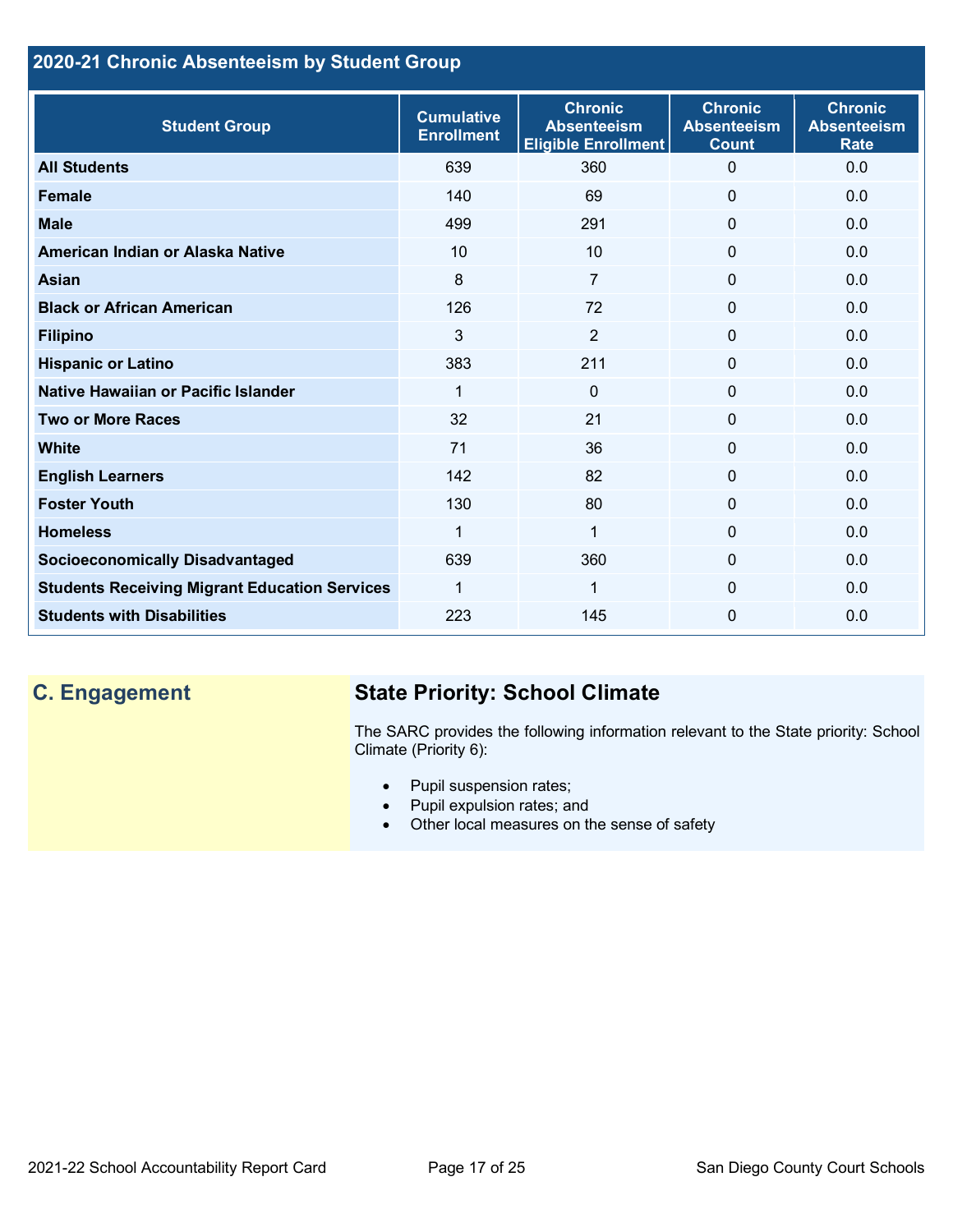## **2020-21 Chronic Absenteeism by Student Group**

| <b>Student Group</b>                                 | <b>Cumulative</b><br><b>Enrollment</b> | <b>Chronic</b><br><b>Absenteeism</b><br><b>Eligible Enrollment</b> | <b>Chronic</b><br><b>Absenteeism</b><br><b>Count</b> | <b>Chronic</b><br><b>Absenteeism</b><br><b>Rate</b> |
|------------------------------------------------------|----------------------------------------|--------------------------------------------------------------------|------------------------------------------------------|-----------------------------------------------------|
| <b>All Students</b>                                  | 639                                    | 360                                                                | 0                                                    | 0.0                                                 |
| <b>Female</b>                                        | 140                                    | 69                                                                 | $\Omega$                                             | 0.0                                                 |
| <b>Male</b>                                          | 499                                    | 291                                                                | $\mathbf{0}$                                         | 0.0                                                 |
| American Indian or Alaska Native                     | 10                                     | 10                                                                 | 0                                                    | 0.0                                                 |
| <b>Asian</b>                                         | 8                                      | 7                                                                  | 0                                                    | 0.0                                                 |
| <b>Black or African American</b>                     | 126                                    | 72                                                                 | $\mathbf{0}$                                         | 0.0                                                 |
| <b>Filipino</b>                                      | 3                                      | $\overline{2}$                                                     | $\mathbf 0$                                          | 0.0                                                 |
| <b>Hispanic or Latino</b>                            | 383                                    | 211                                                                | 0                                                    | 0.0                                                 |
| Native Hawaiian or Pacific Islander                  | 1                                      | $\Omega$                                                           | 0                                                    | 0.0                                                 |
| <b>Two or More Races</b>                             | 32                                     | 21                                                                 | 0                                                    | 0.0                                                 |
| <b>White</b>                                         | 71                                     | 36                                                                 | 0                                                    | 0.0                                                 |
| <b>English Learners</b>                              | 142                                    | 82                                                                 | $\Omega$                                             | 0.0                                                 |
| <b>Foster Youth</b>                                  | 130                                    | 80                                                                 | 0                                                    | 0.0                                                 |
| <b>Homeless</b>                                      | 1                                      | 1                                                                  | 0                                                    | 0.0                                                 |
| <b>Socioeconomically Disadvantaged</b>               | 639                                    | 360                                                                | 0                                                    | 0.0                                                 |
| <b>Students Receiving Migrant Education Services</b> | 1                                      | 1                                                                  | 0                                                    | 0.0                                                 |
| <b>Students with Disabilities</b>                    | 223                                    | 145                                                                | $\Omega$                                             | 0.0                                                 |

## **C. Engagement State Priority: School Climate**

The SARC provides the following information relevant to the State priority: School Climate (Priority 6):

- Pupil suspension rates;
- Pupil expulsion rates; and
- Other local measures on the sense of safety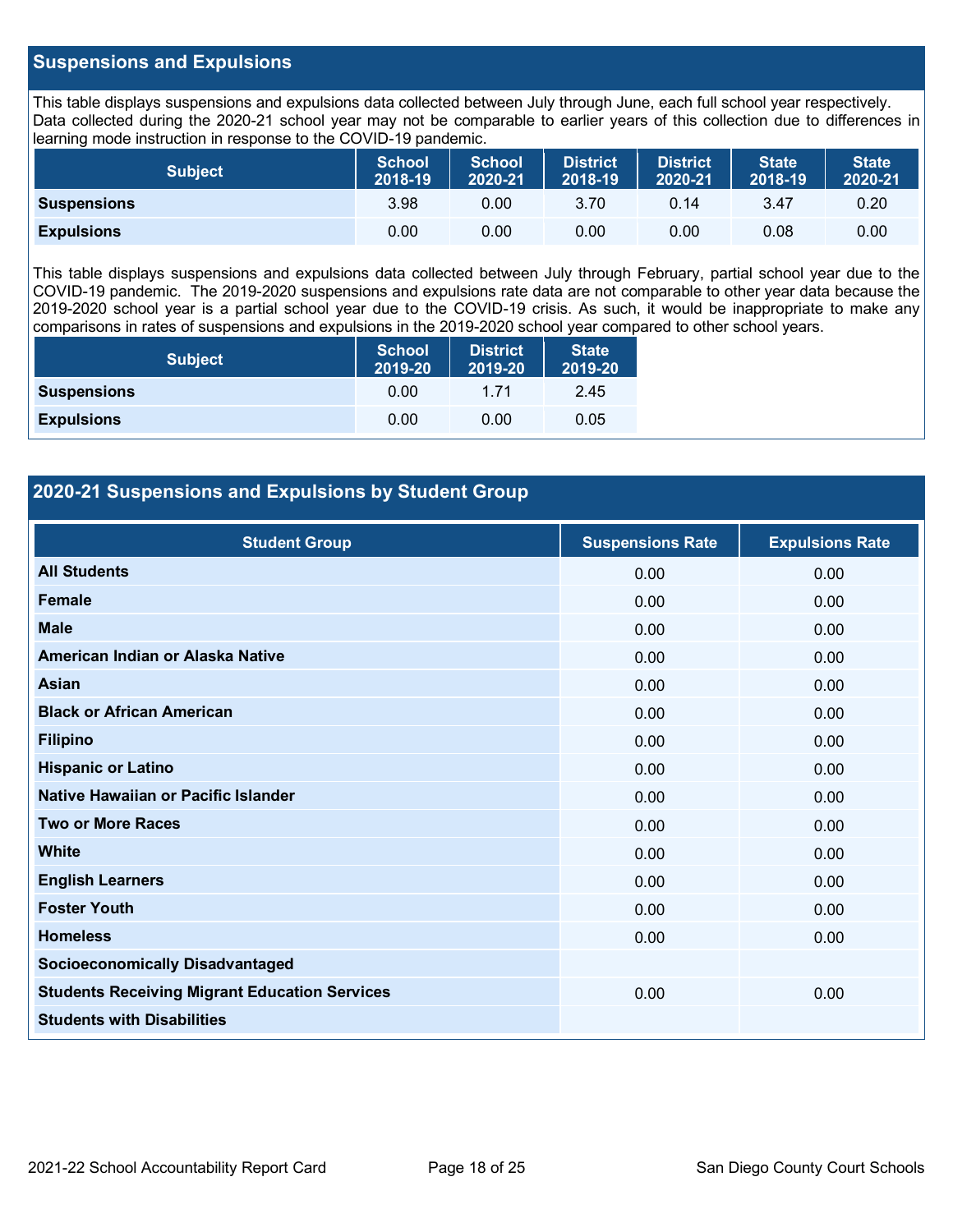## **Suspensions and Expulsions**

This table displays suspensions and expulsions data collected between July through June, each full school year respectively. Data collected during the 2020-21 school year may not be comparable to earlier years of this collection due to differences in learning mode instruction in response to the COVID-19 pandemic.

| <b>Subject</b>     | <b>School</b><br>$2018 - 19$ | <b>School</b><br>2020-21 | <b>District</b><br>2018-19 | <b>District</b><br>2020-21 | <b>State</b><br>2018-19 | <b>State</b><br>2020-21 |
|--------------------|------------------------------|--------------------------|----------------------------|----------------------------|-------------------------|-------------------------|
| <b>Suspensions</b> | 3.98                         | 0.00                     | 3.70                       | 0.14                       | 3.47                    | 0.20                    |
| <b>Expulsions</b>  | 0.00                         | 0.00                     | 0.00                       | 0.00                       | 0.08                    | 0.00                    |

This table displays suspensions and expulsions data collected between July through February, partial school year due to the COVID-19 pandemic. The 2019-2020 suspensions and expulsions rate data are not comparable to other year data because the 2019-2020 school year is a partial school year due to the COVID-19 crisis. As such, it would be inappropriate to make any comparisons in rates of suspensions and expulsions in the 2019-2020 school year compared to other school years.

| <b>Subject</b>     | <b>School</b><br>2019-20 | <b>District</b><br>2019-20 | <b>State</b><br>2019-20 |
|--------------------|--------------------------|----------------------------|-------------------------|
| <b>Suspensions</b> | 0.00                     | 1 71                       | 2.45                    |
| <b>Expulsions</b>  | 0.00                     | 0.00                       | 0.05                    |

## **2020-21 Suspensions and Expulsions by Student Group**

| <b>Student Group</b>                                 | <b>Suspensions Rate</b> | <b>Expulsions Rate</b> |
|------------------------------------------------------|-------------------------|------------------------|
| <b>All Students</b>                                  | 0.00                    | 0.00                   |
| <b>Female</b>                                        | 0.00                    | 0.00                   |
| <b>Male</b>                                          | 0.00                    | 0.00                   |
| American Indian or Alaska Native                     | 0.00                    | 0.00                   |
| <b>Asian</b>                                         | 0.00                    | 0.00                   |
| <b>Black or African American</b>                     | 0.00                    | 0.00                   |
| <b>Filipino</b>                                      | 0.00                    | 0.00                   |
| <b>Hispanic or Latino</b>                            | 0.00                    | 0.00                   |
| Native Hawaiian or Pacific Islander                  | 0.00                    | 0.00                   |
| <b>Two or More Races</b>                             | 0.00                    | 0.00                   |
| <b>White</b>                                         | 0.00                    | 0.00                   |
| <b>English Learners</b>                              | 0.00                    | 0.00                   |
| <b>Foster Youth</b>                                  | 0.00                    | 0.00                   |
| <b>Homeless</b>                                      | 0.00                    | 0.00                   |
| <b>Socioeconomically Disadvantaged</b>               |                         |                        |
| <b>Students Receiving Migrant Education Services</b> | 0.00                    | 0.00                   |
| <b>Students with Disabilities</b>                    |                         |                        |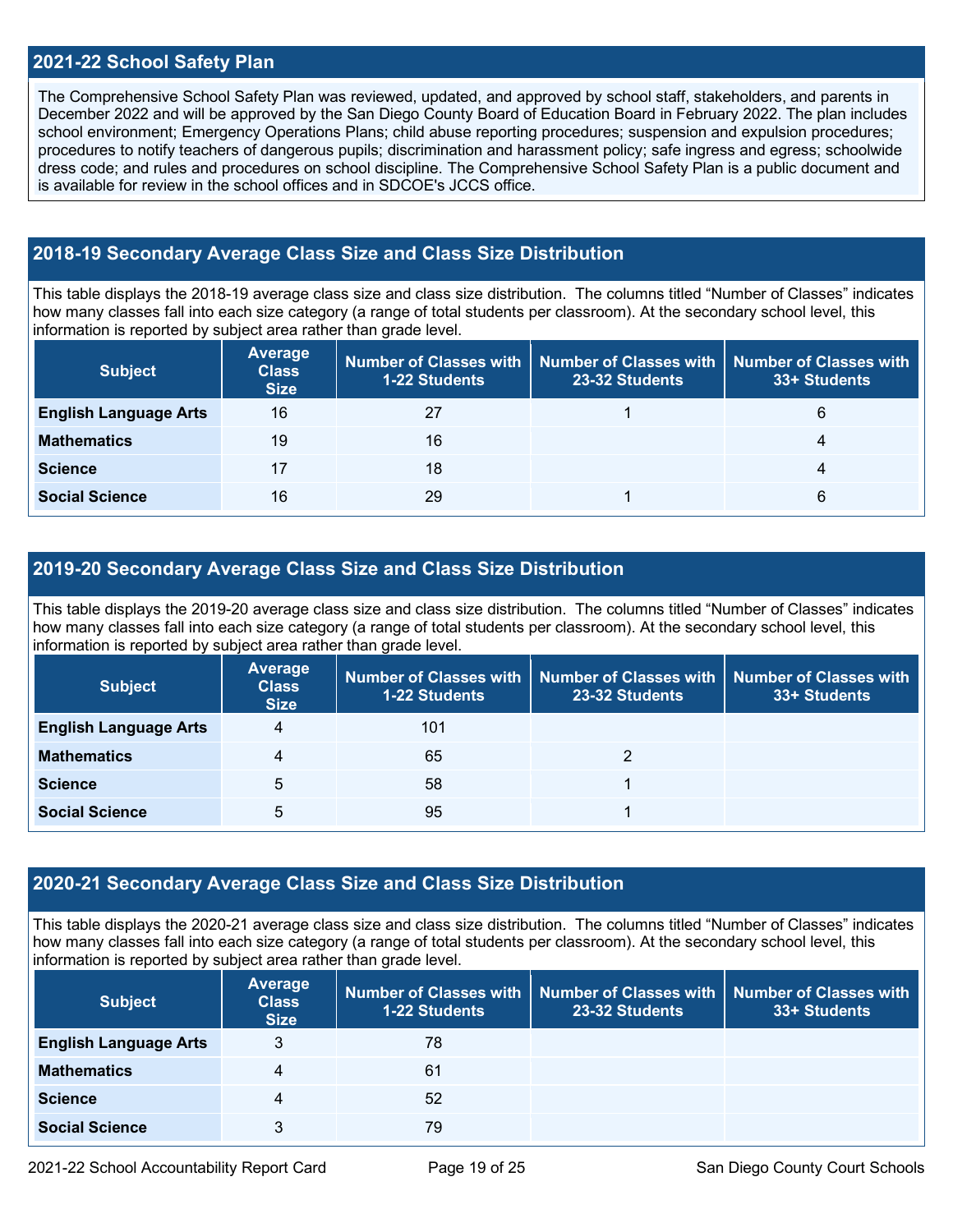## **2021-22 School Safety Plan**

The Comprehensive School Safety Plan was reviewed, updated, and approved by school staff, stakeholders, and parents in December 2022 and will be approved by the San Diego County Board of Education Board in February 2022. The plan includes school environment; Emergency Operations Plans; child abuse reporting procedures; suspension and expulsion procedures; procedures to notify teachers of dangerous pupils; discrimination and harassment policy; safe ingress and egress; schoolwide dress code; and rules and procedures on school discipline. The Comprehensive School Safety Plan is a public document and is available for review in the school offices and in  $SDCOE$ 's JCCS office.

## **2018-19 Secondary Average Class Size and Class Size Distribution**

This table displays the 2018-19 average class size and class size distribution. The columns titled "Number of Classes" indicates how many classes fall into each size category (a range of total students per classroom). At the secondary school level, this information is reported by subject area rather than grade level.

| <b>Subject</b>               | <b>Average</b><br><b>Class</b><br><b>Size</b> | <b>1-22 Students</b> | Number of Classes with   Number of Classes with   Number of Classes with<br>23-32 Students | 33+ Students |
|------------------------------|-----------------------------------------------|----------------------|--------------------------------------------------------------------------------------------|--------------|
| <b>English Language Arts</b> | 16                                            | 27                   |                                                                                            | 6            |
| <b>Mathematics</b>           | 19                                            | 16                   |                                                                                            | 4            |
| <b>Science</b>               |                                               | 18                   |                                                                                            | 4            |
| <b>Social Science</b>        | 16                                            | 29                   |                                                                                            | 6            |

## **2019-20 Secondary Average Class Size and Class Size Distribution**

This table displays the 2019-20 average class size and class size distribution. The columns titled "Number of Classes" indicates how many classes fall into each size category (a range of total students per classroom). At the secondary school level, this information is reported by subject area rather than grade level.

| <b>Subject</b>               | Average<br><b>Class</b><br><b>Size</b> | <b>1-22 Students</b> | Number of Classes with   Number of Classes with  <br>23-32 Students | <b>Number of Classes with</b><br>33+ Students |
|------------------------------|----------------------------------------|----------------------|---------------------------------------------------------------------|-----------------------------------------------|
| <b>English Language Arts</b> | 4                                      | 101                  |                                                                     |                                               |
| <b>Mathematics</b>           | 4                                      | 65                   |                                                                     |                                               |
| <b>Science</b>               | 5                                      | 58                   |                                                                     |                                               |
| <b>Social Science</b>        | 5                                      | 95                   |                                                                     |                                               |

### **2020-21 Secondary Average Class Size and Class Size Distribution**

This table displays the 2020-21 average class size and class size distribution. The columns titled "Number of Classes" indicates how many classes fall into each size category (a range of total students per classroom). At the secondary school level, this information is reported by subject area rather than grade level.

| <b>Subject</b>               | <b>Average</b><br><b>Class</b><br><b>Size</b> | <b>1-22 Students</b> | Number of Classes with   Number of Classes with  <br>23-32 Students | <b>Number of Classes with</b><br>33+ Students |
|------------------------------|-----------------------------------------------|----------------------|---------------------------------------------------------------------|-----------------------------------------------|
| <b>English Language Arts</b> | 3                                             | 78                   |                                                                     |                                               |
| <b>Mathematics</b>           | 4                                             | 61                   |                                                                     |                                               |
| <b>Science</b>               | 4                                             | 52                   |                                                                     |                                               |
| <b>Social Science</b>        | 3                                             | 79                   |                                                                     |                                               |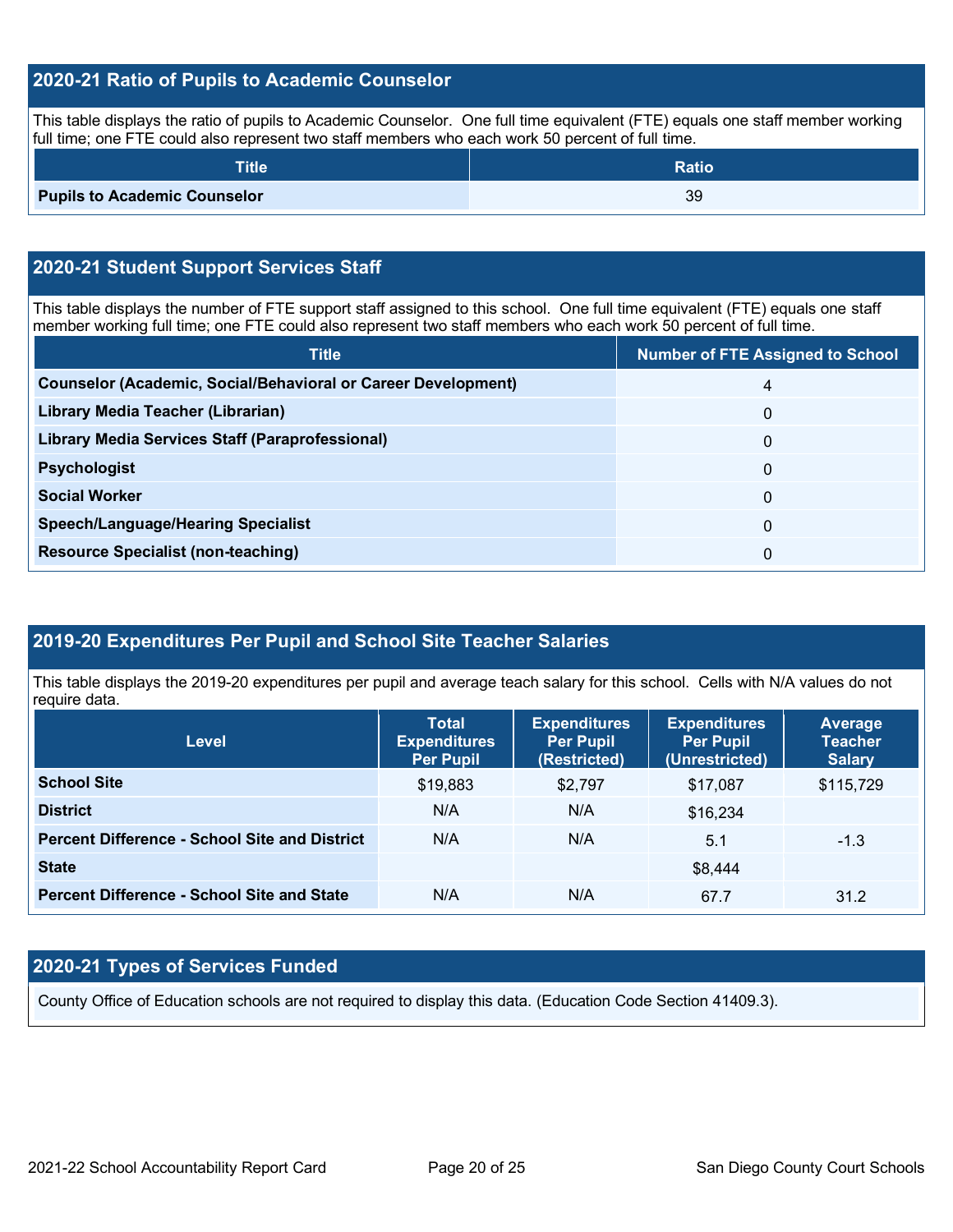## **2020-21 Ratio of Pupils to Academic Counselor**

This table displays the ratio of pupils to Academic Counselor. One full time equivalent (FTE) equals one staff member working full time; one FTE could also represent two staff members who each work 50 percent of full time.

| <b>Title</b>                        | <b>Ratio</b> |
|-------------------------------------|--------------|
| <b>Pupils to Academic Counselor</b> | 39           |

## **2020-21 Student Support Services Staff**

This table displays the number of FTE support staff assigned to this school. One full time equivalent (FTE) equals one staff member working full time; one FTE could also represent two staff members who each work 50 percent of full time.

| <b>Title</b>                                                         | <b>Number of FTE Assigned to School</b> |
|----------------------------------------------------------------------|-----------------------------------------|
| <b>Counselor (Academic, Social/Behavioral or Career Development)</b> | 4                                       |
| Library Media Teacher (Librarian)                                    | $\Omega$                                |
| <b>Library Media Services Staff (Paraprofessional)</b>               | 0                                       |
| <b>Psychologist</b>                                                  | $\Omega$                                |
| <b>Social Worker</b>                                                 | $\Omega$                                |
| <b>Speech/Language/Hearing Specialist</b>                            | $\Omega$                                |
| <b>Resource Specialist (non-teaching)</b>                            | 0                                       |

## **2019-20 Expenditures Per Pupil and School Site Teacher Salaries**

This table displays the 2019-20 expenditures per pupil and average teach salary for this school. Cells with N/A values do not require data.

| Level                                                | <b>Total</b><br><b>Expenditures</b><br><b>Per Pupil</b> | <b>Expenditures</b><br><b>Per Pupil</b><br>(Restricted) | <b>Expenditures</b><br><b>Per Pupil</b><br>(Unrestricted) | <b>Average</b><br><b>Teacher</b><br><b>Salary</b> |
|------------------------------------------------------|---------------------------------------------------------|---------------------------------------------------------|-----------------------------------------------------------|---------------------------------------------------|
| <b>School Site</b>                                   | \$19,883                                                | \$2,797                                                 | \$17,087                                                  | \$115,729                                         |
| <b>District</b>                                      | N/A                                                     | N/A                                                     | \$16,234                                                  |                                                   |
| <b>Percent Difference - School Site and District</b> | N/A                                                     | N/A                                                     | 5.1                                                       | $-1.3$                                            |
| <b>State</b>                                         |                                                         |                                                         | \$8,444                                                   |                                                   |
| <b>Percent Difference - School Site and State</b>    | N/A                                                     | N/A                                                     | 67.7                                                      | 31.2                                              |

## **2020-21 Types of Services Funded**

County Office of Education schools are not required to display this data. (Education Code Section 41409.3).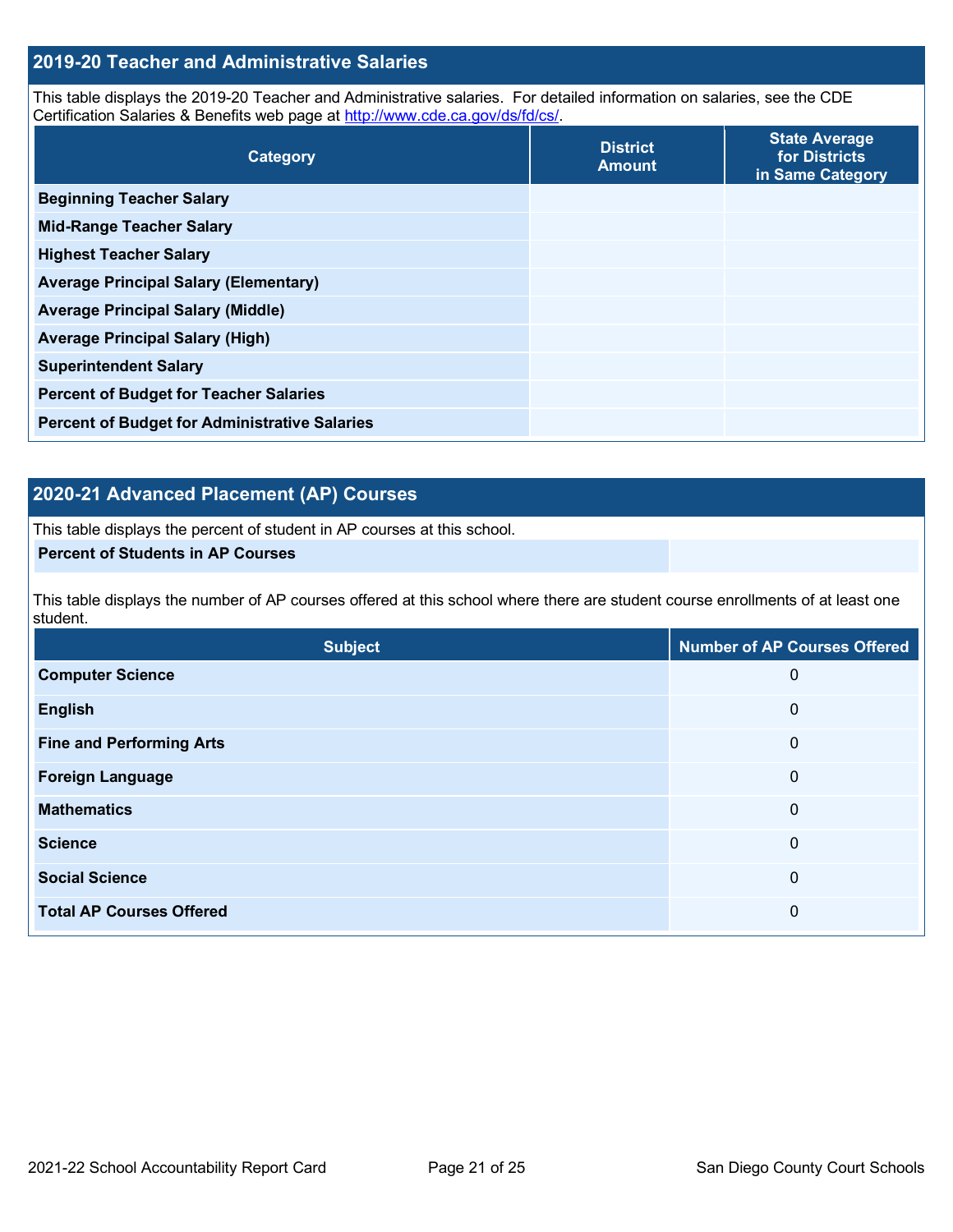## **2019-20 Teacher and Administrative Salaries**

This table displays the 2019-20 Teacher and Administrative salaries. For detailed information on salaries, see the CDE Certification Salaries & Benefits web page at [http://www.cde.ca.gov/ds/fd/cs/.](http://www.cde.ca.gov/ds/fd/cs/)

| Category                                             | <b>District</b><br><b>Amount</b> | <b>State Average</b><br>for Districts<br>in Same Category |
|------------------------------------------------------|----------------------------------|-----------------------------------------------------------|
| <b>Beginning Teacher Salary</b>                      |                                  |                                                           |
| <b>Mid-Range Teacher Salary</b>                      |                                  |                                                           |
| <b>Highest Teacher Salary</b>                        |                                  |                                                           |
| <b>Average Principal Salary (Elementary)</b>         |                                  |                                                           |
| <b>Average Principal Salary (Middle)</b>             |                                  |                                                           |
| <b>Average Principal Salary (High)</b>               |                                  |                                                           |
| <b>Superintendent Salary</b>                         |                                  |                                                           |
| <b>Percent of Budget for Teacher Salaries</b>        |                                  |                                                           |
| <b>Percent of Budget for Administrative Salaries</b> |                                  |                                                           |

## **2020-21 Advanced Placement (AP) Courses**

This table displays the percent of student in AP courses at this school.

## **Percent of Students in AP Courses**

This table displays the number of AP courses offered at this school where there are student course enrollments of at least one student.

| <b>Subject</b>                  | <b>Number of AP Courses Offered</b> |
|---------------------------------|-------------------------------------|
| <b>Computer Science</b>         | 0                                   |
| <b>English</b>                  | 0                                   |
| <b>Fine and Performing Arts</b> | 0                                   |
| <b>Foreign Language</b>         | 0                                   |
| <b>Mathematics</b>              | 0                                   |
| <b>Science</b>                  | 0                                   |
| <b>Social Science</b>           | 0                                   |
| <b>Total AP Courses Offered</b> | 0                                   |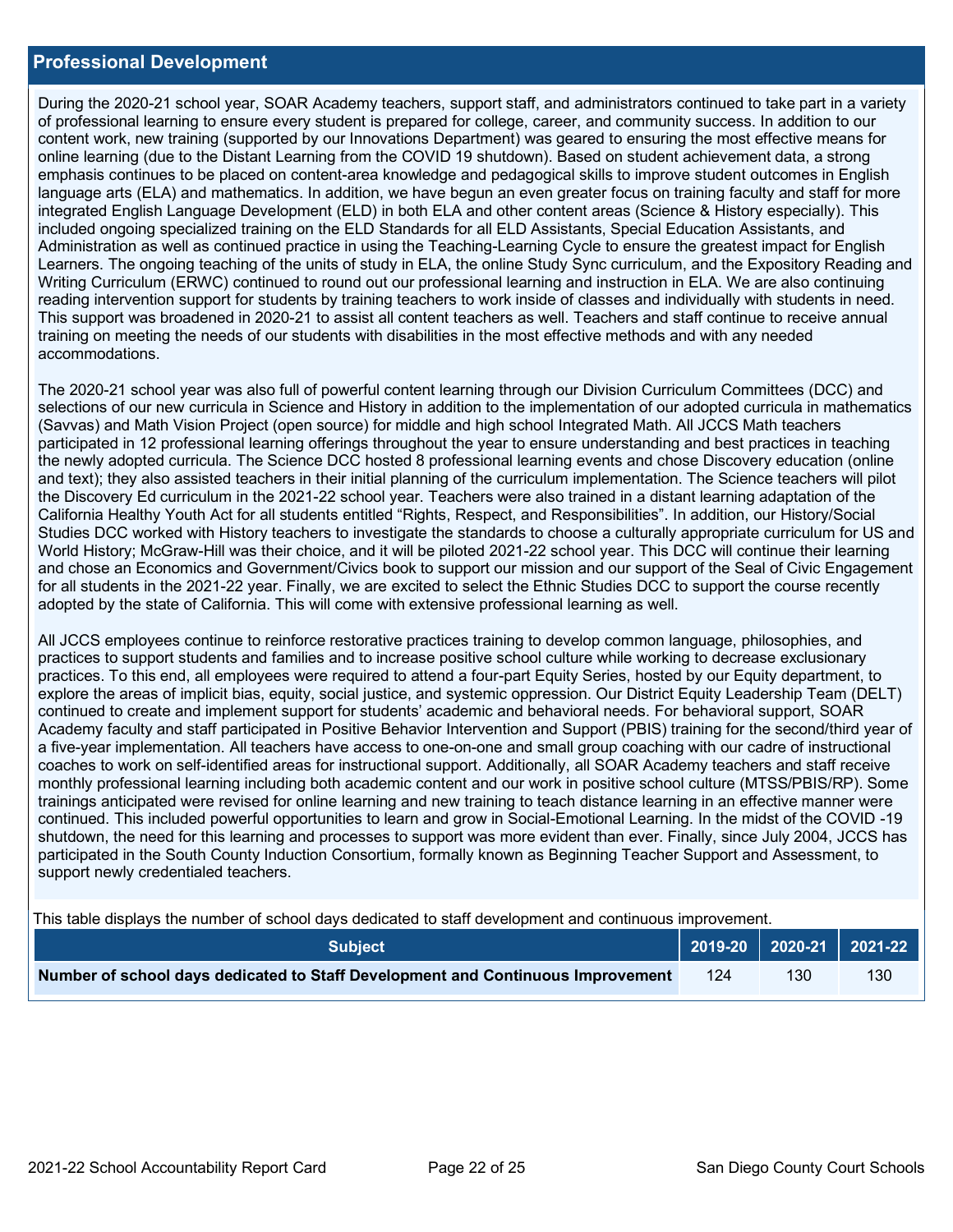### **Professional Development**

During the 2020-21 school year, SOAR Academy teachers, support staff, and administrators continued to take part in a variety of professional learning to ensure every student is prepared for college, career, and community success. In addition to our content work, new training (supported by our Innovations Department) was geared to ensuring the most effective means for online learning (due to the Distant Learning from the COVID 19 shutdown). Based on student achievement data, a strong emphasis continues to be placed on content-area knowledge and pedagogical skills to improve student outcomes in English language arts (ELA) and mathematics. In addition, we have begun an even greater focus on training faculty and staff for more integrated English Language Development (ELD) in both ELA and other content areas (Science & History especially). This included ongoing specialized training on the ELD Standards for all ELD Assistants, Special Education Assistants, and Administration as well as continued practice in using the Teaching-Learning Cycle to ensure the greatest impact for English Learners. The ongoing teaching of the units of study in ELA, the online Study Sync curriculum, and the Expository Reading and Writing Curriculum (ERWC) continued to round out our professional learning and instruction in ELA. We are also continuing reading intervention support for students by training teachers to work inside of classes and individually with students in need. This support was broadened in 2020-21 to assist all content teachers as well. Teachers and staff continue to receive annual training on meeting the needs of our students with disabilities in the most effective methods and with any needed accommodations.

The 2020-21 school year was also full of powerful content learning through our Division Curriculum Committees (DCC) and selections of our new curricula in Science and History in addition to the implementation of our adopted curricula in mathematics (Savvas) and Math Vision Project (open source) for middle and high school Integrated Math. All JCCS Math teachers participated in 12 professional learning offerings throughout the year to ensure understanding and best practices in teaching the newly adopted curricula. The Science DCC hosted 8 professional learning events and chose Discovery education (online and text); they also assisted teachers in their initial planning of the curriculum implementation. The Science teachers will pilot the Discovery Ed curriculum in the 2021-22 school year. Teachers were also trained in a distant learning adaptation of the California Healthy Youth Act for all students entitled "Rights, Respect, and Responsibilities". In addition, our History/Social Studies DCC worked with History teachers to investigate the standards to choose a culturally appropriate curriculum for US and World History; McGraw-Hill was their choice, and it will be piloted 2021-22 school year. This DCC will continue their learning and chose an Economics and Government/Civics book to support our mission and our support of the Seal of Civic Engagement for all students in the 2021-22 year. Finally, we are excited to select the Ethnic Studies DCC to support the course recently adopted by the state of California. This will come with extensive professional learning as well.

All JCCS employees continue to reinforce restorative practices training to develop common language, philosophies, and practices to support students and families and to increase positive school culture while working to decrease exclusionary practices. To this end, all employees were required to attend a four-part Equity Series, hosted by our Equity department, to explore the areas of implicit bias, equity, social justice, and systemic oppression. Our District Equity Leadership Team (DELT) continued to create and implement support for students' academic and behavioral needs. For behavioral support, SOAR Academy faculty and staff participated in Positive Behavior Intervention and Support (PBIS) training for the second/third year of a five-year implementation. All teachers have access to one-on-one and small group coaching with our cadre of instructional coaches to work on self-identified areas for instructional support. Additionally, all SOAR Academy teachers and staff receive monthly professional learning including both academic content and our work in positive school culture (MTSS/PBIS/RP). Some trainings anticipated were revised for online learning and new training to teach distance learning in an effective manner were continued. This included powerful opportunities to learn and grow in Social-Emotional Learning. In the midst of the COVID -19 shutdown, the need for this learning and processes to support was more evident than ever. Finally, since July 2004, JCCS has participated in the South County Induction Consortium, formally known as Beginning Teacher Support and Assessment, to support newly credentialed teachers.

This table displays the number of school days dedicated to staff development and continuous improvement.

| <b>Subject</b>                                                                  |  |                  |     |
|---------------------------------------------------------------------------------|--|------------------|-----|
| Number of school days dedicated to Staff Development and Continuous Improvement |  | 130 <sub>°</sub> | 130 |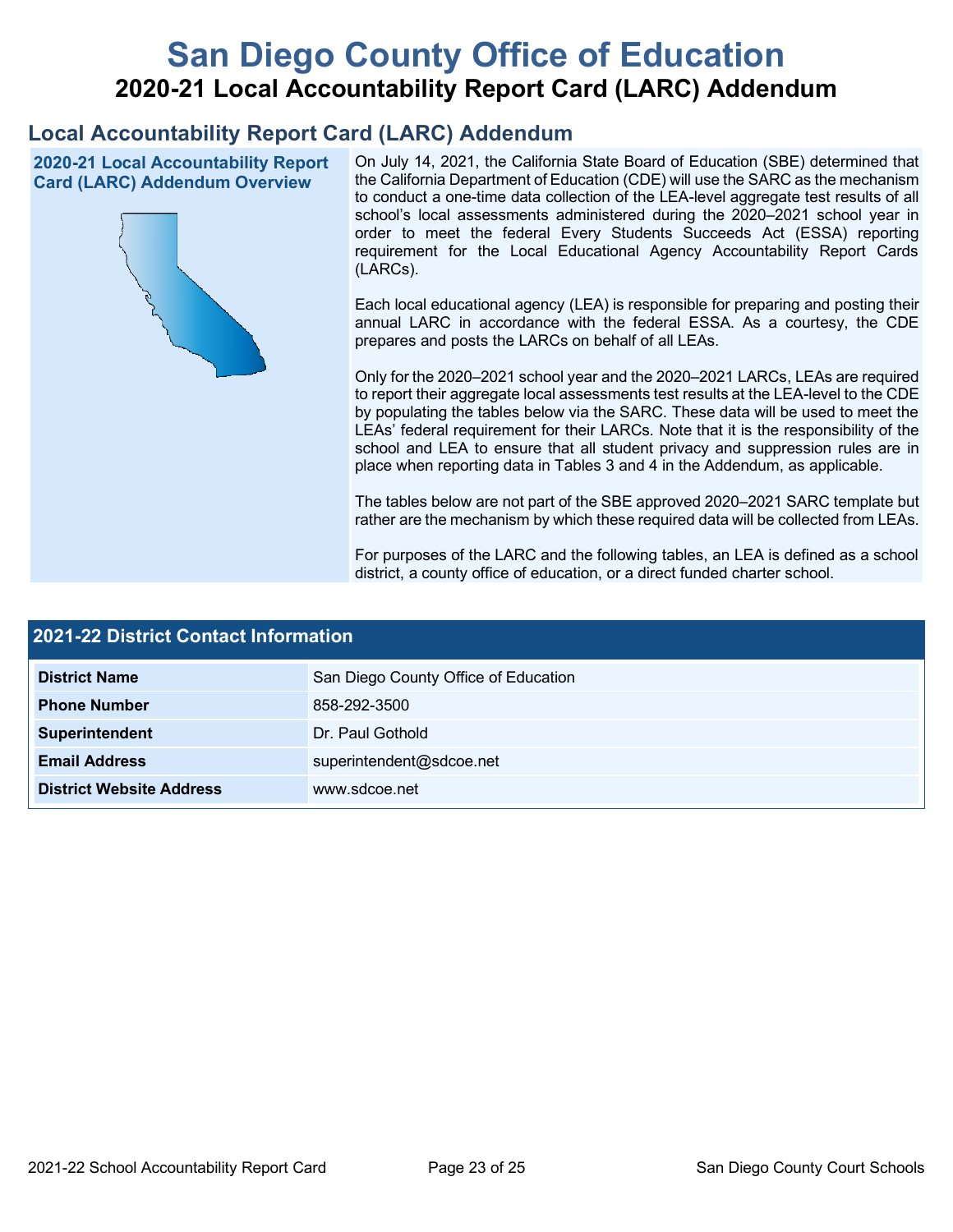# **San Diego County Office of Education 2020-21 Local Accountability Report Card (LARC) Addendum**

## **Local Accountability Report Card (LARC) Addendum**

**2020-21 Local Accountability Report Card (LARC) Addendum Overview**



On July 14, 2021, the California State Board of Education (SBE) determined that the California Department of Education (CDE) will use the SARC as the mechanism to conduct a one-time data collection of the LEA-level aggregate test results of all school's local assessments administered during the 2020–2021 school year in order to meet the federal Every Students Succeeds Act (ESSA) reporting requirement for the Local Educational Agency Accountability Report Cards (LARCs).

Each local educational agency (LEA) is responsible for preparing and posting their annual LARC in accordance with the federal ESSA. As a courtesy, the CDE prepares and posts the LARCs on behalf of all LEAs.

Only for the 2020–2021 school year and the 2020–2021 LARCs, LEAs are required to report their aggregate local assessments test results at the LEA-level to the CDE by populating the tables below via the SARC. These data will be used to meet the LEAs' federal requirement for their LARCs. Note that it is the responsibility of the school and LEA to ensure that all student privacy and suppression rules are in place when reporting data in Tables 3 and 4 in the Addendum, as applicable.

The tables below are not part of the SBE approved 2020–2021 SARC template but rather are the mechanism by which these required data will be collected from LEAs.

For purposes of the LARC and the following tables, an LEA is defined as a school district, a county office of education, or a direct funded charter school.

| 2021-22 District Contact Information |                                      |  |  |
|--------------------------------------|--------------------------------------|--|--|
| <b>District Name</b>                 | San Diego County Office of Education |  |  |
| <b>Phone Number</b>                  | 858-292-3500                         |  |  |
| Superintendent                       | Dr. Paul Gothold                     |  |  |
| <b>Email Address</b>                 | superintendent@sdcoe.net             |  |  |
| <b>District Website Address</b>      | www.sdcoe.net                        |  |  |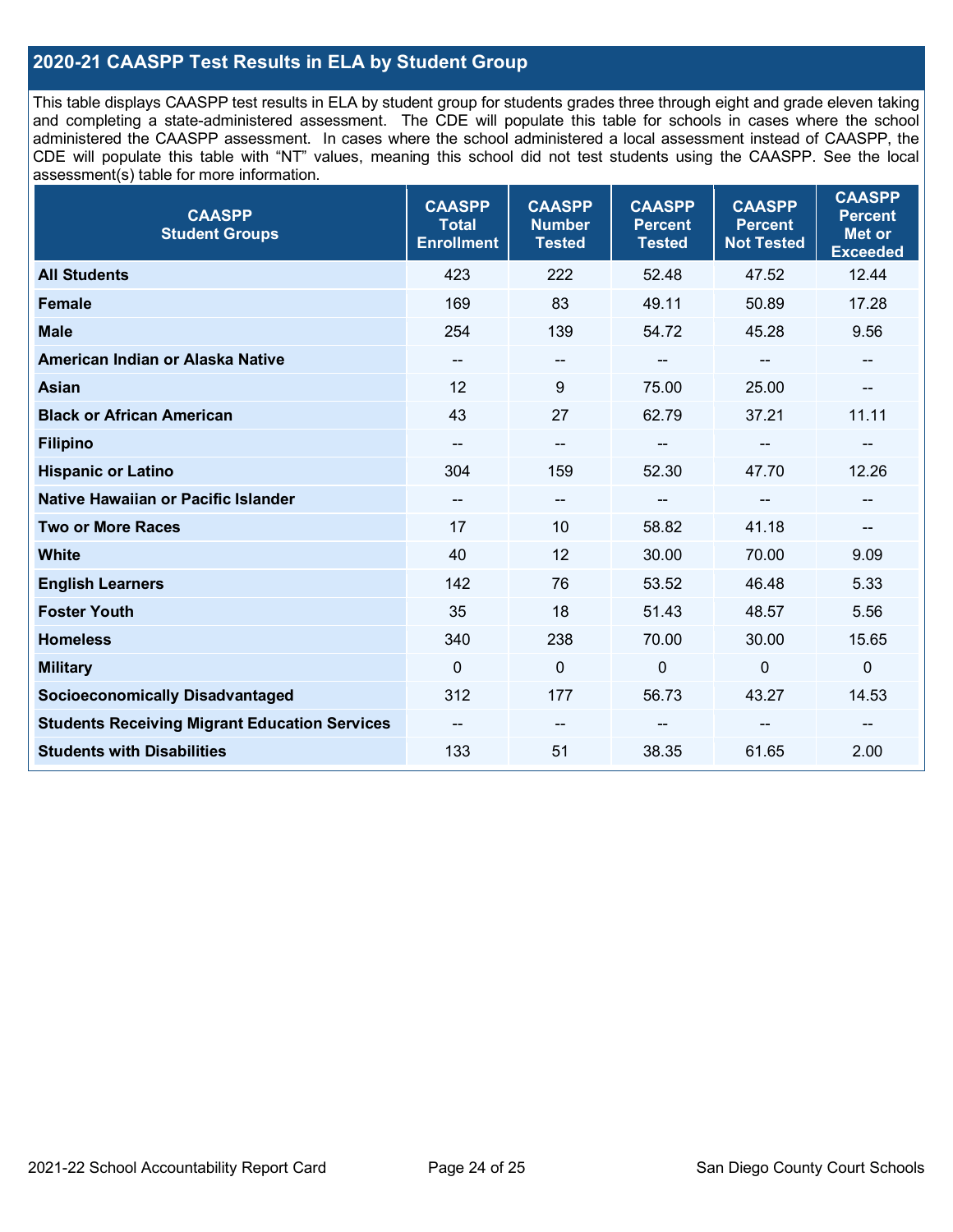## **2020-21 CAASPP Test Results in ELA by Student Group**

This table displays CAASPP test results in ELA by student group for students grades three through eight and grade eleven taking and completing a state-administered assessment. The CDE will populate this table for schools in cases where the school administered the CAASPP assessment. In cases where the school administered a local assessment instead of CAASPP, the CDE will populate this table with "NT" values, meaning this school did not test students using the CAASPP. See the local assessment(s) table for more information.

| <b>CAASPP</b><br><b>Student Groups</b>               | <b>CAASPP</b><br><b>Total</b><br><b>Enrollment</b> | <b>CAASPP</b><br><b>Number</b><br><b>Tested</b> | <b>CAASPP</b><br><b>Percent</b><br><b>Tested</b> | <b>CAASPP</b><br><b>Percent</b><br><b>Not Tested</b> | <b>CAASPP</b><br><b>Percent</b><br><b>Met or</b><br><b>Exceeded</b> |
|------------------------------------------------------|----------------------------------------------------|-------------------------------------------------|--------------------------------------------------|------------------------------------------------------|---------------------------------------------------------------------|
| <b>All Students</b>                                  | 423                                                | 222                                             | 52.48                                            | 47.52                                                | 12.44                                                               |
| <b>Female</b>                                        | 169                                                | 83                                              | 49.11                                            | 50.89                                                | 17.28                                                               |
| <b>Male</b>                                          | 254                                                | 139                                             | 54.72                                            | 45.28                                                | 9.56                                                                |
| American Indian or Alaska Native                     | $\overline{\phantom{a}}$                           | $\overline{\phantom{a}}$                        | --                                               | $\overline{\phantom{a}}$                             | --                                                                  |
| <b>Asian</b>                                         | 12                                                 | 9                                               | 75.00                                            | 25.00                                                |                                                                     |
| <b>Black or African American</b>                     | 43                                                 | 27                                              | 62.79                                            | 37.21                                                | 11.11                                                               |
| <b>Filipino</b>                                      |                                                    | $\overline{\phantom{m}}$                        |                                                  | $\mathbf{u}$                                         |                                                                     |
| <b>Hispanic or Latino</b>                            | 304                                                | 159                                             | 52.30                                            | 47.70                                                | 12.26                                                               |
| <b>Native Hawaiian or Pacific Islander</b>           | $\overline{\phantom{a}}$                           | $\overline{\phantom{a}}$                        | $\qquad \qquad \blacksquare$                     | $\overline{\phantom{a}}$                             | --                                                                  |
| <b>Two or More Races</b>                             | 17                                                 | 10                                              | 58.82                                            | 41.18                                                | --                                                                  |
| <b>White</b>                                         | 40                                                 | 12                                              | 30.00                                            | 70.00                                                | 9.09                                                                |
| <b>English Learners</b>                              | 142                                                | 76                                              | 53.52                                            | 46.48                                                | 5.33                                                                |
| <b>Foster Youth</b>                                  | 35                                                 | 18                                              | 51.43                                            | 48.57                                                | 5.56                                                                |
| <b>Homeless</b>                                      | 340                                                | 238                                             | 70.00                                            | 30.00                                                | 15.65                                                               |
| <b>Military</b>                                      | $\mathbf{0}$                                       | $\mathbf 0$                                     | $\mathbf 0$                                      | $\mathbf 0$                                          | 0                                                                   |
| <b>Socioeconomically Disadvantaged</b>               | 312                                                | 177                                             | 56.73                                            | 43.27                                                | 14.53                                                               |
| <b>Students Receiving Migrant Education Services</b> |                                                    | --                                              |                                                  |                                                      |                                                                     |
| <b>Students with Disabilities</b>                    | 133                                                | 51                                              | 38.35                                            | 61.65                                                | 2.00                                                                |